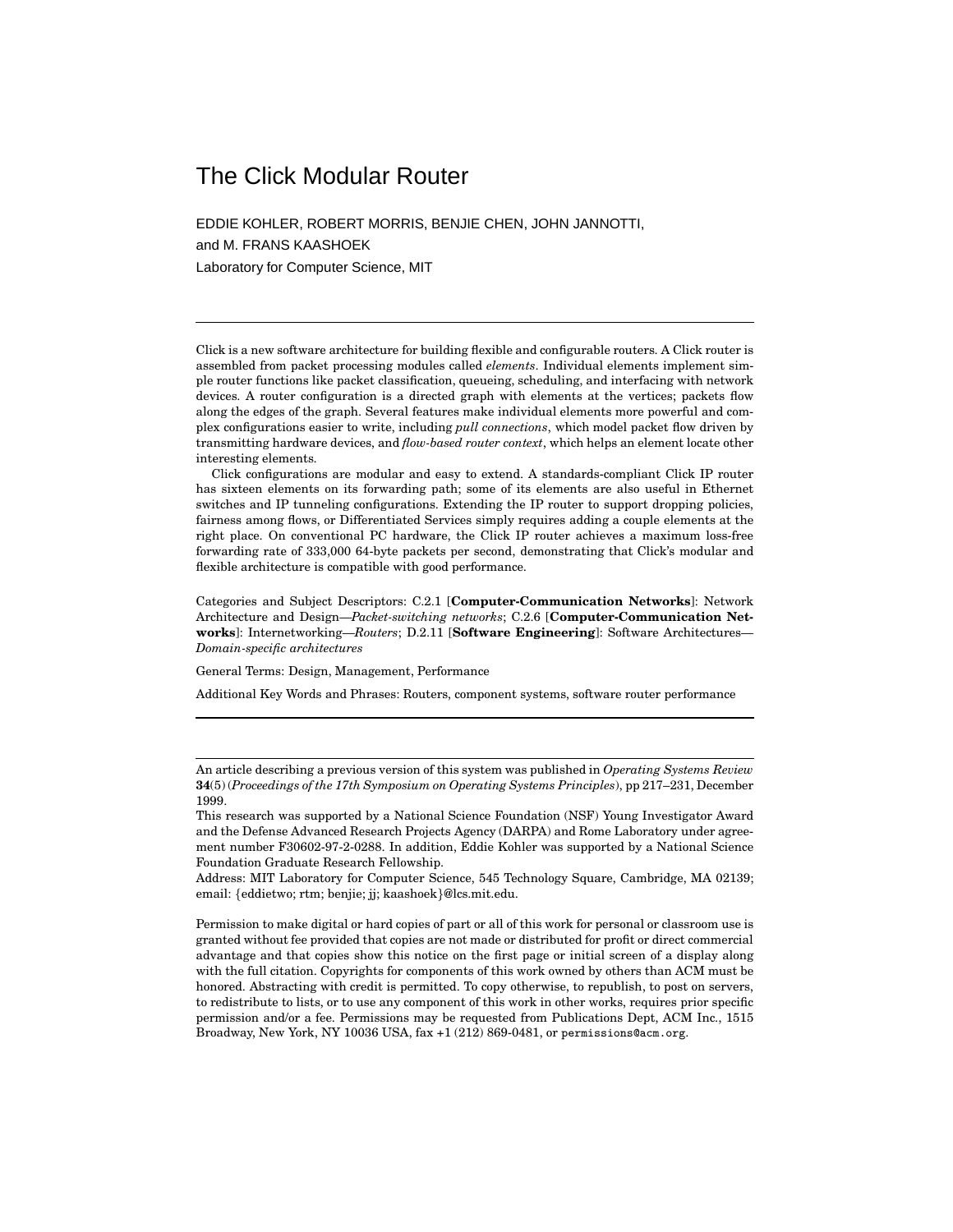# The Click Modular Router

EDDIE KOHLER, ROBERT MORRIS, BENJIE CHEN, JOHN JANNOTTI, and M. FRANS KAASHOEK Laboratory for Computer Science, MIT

Click is a new software architecture for building flexible and configurable routers. A Click router is assembled from packet processing modules called *elements*. Individual elements implement simple router functions like packet classification, queueing, scheduling, and interfacing with network devices. A router configuration is a directed graph with elements at the vertices; packets flow along the edges of the graph. Several features make individual elements more powerful and complex configurations easier to write, including *pull connections*, which model packet flow driven by transmitting hardware devices, and *flow-based router context*, which helps an element locate other interesting elements.

Click configurations are modular and easy to extend. A standards-compliant Click IP router has sixteen elements on its forwarding path; some of its elements are also useful in Ethernet switches and IP tunneling configurations. Extending the IP router to support dropping policies, fairness among flows, or Differentiated Services simply requires adding a couple elements at the right place. On conventional PC hardware, the Click IP router achieves a maximum loss-free forwarding rate of 333,000 64-byte packets per second, demonstrating that Click's modular and flexible architecture is compatible with good performance.

Categories and Subject Descriptors: C.2.1 [**Computer-Communication Networks**]: Network Architecture and Design—*Packet-switching networks*; C.2.6 [**Computer-Communication Networks**]: Internetworking—*Routers*; D.2.11 [**Software Engineering**]: Software Architectures— *Domain-specific architectures*

General Terms: Design, Management, Performance

Additional Key Words and Phrases: Routers, component systems, software router performance

Address: MIT Laboratory for Computer Science, 545 Technology Square, Cambridge, MA 02139; email: {eddietwo; rtm; benjie; jj; kaashoek}@lcs.mit.edu.

Permission to make digital or hard copies of part or all of this work for personal or classroom use is granted without fee provided that copies are not made or distributed for profit or direct commercial advantage and that copies show this notice on the first page or initial screen of a display along with the full citation. Copyrights for components of this work owned by others than ACM must be honored. Abstracting with credit is permitted. To copy otherwise, to republish, to post on servers, to redistribute to lists, or to use any component of this work in other works, requires prior specific permission and/or a fee. Permissions may be requested from Publications Dept, ACM Inc., 1515 Broadway, New York, NY 10036 USA, fax +1 (212) 869-0481, or permissions@acm.org.

An article describing a previous version of this system was published in *Operating Systems Review* **34**(5) (*Proceedings of the 17th Symposium on Operating Systems Principles*), pp 217–231, December 1999.

This research was supported by a National Science Foundation (NSF) Young Investigator Award and the Defense Advanced Research Projects Agency (DARPA) and Rome Laboratory under agreement number F30602-97-2-0288. In addition, Eddie Kohler was supported by a National Science Foundation Graduate Research Fellowship.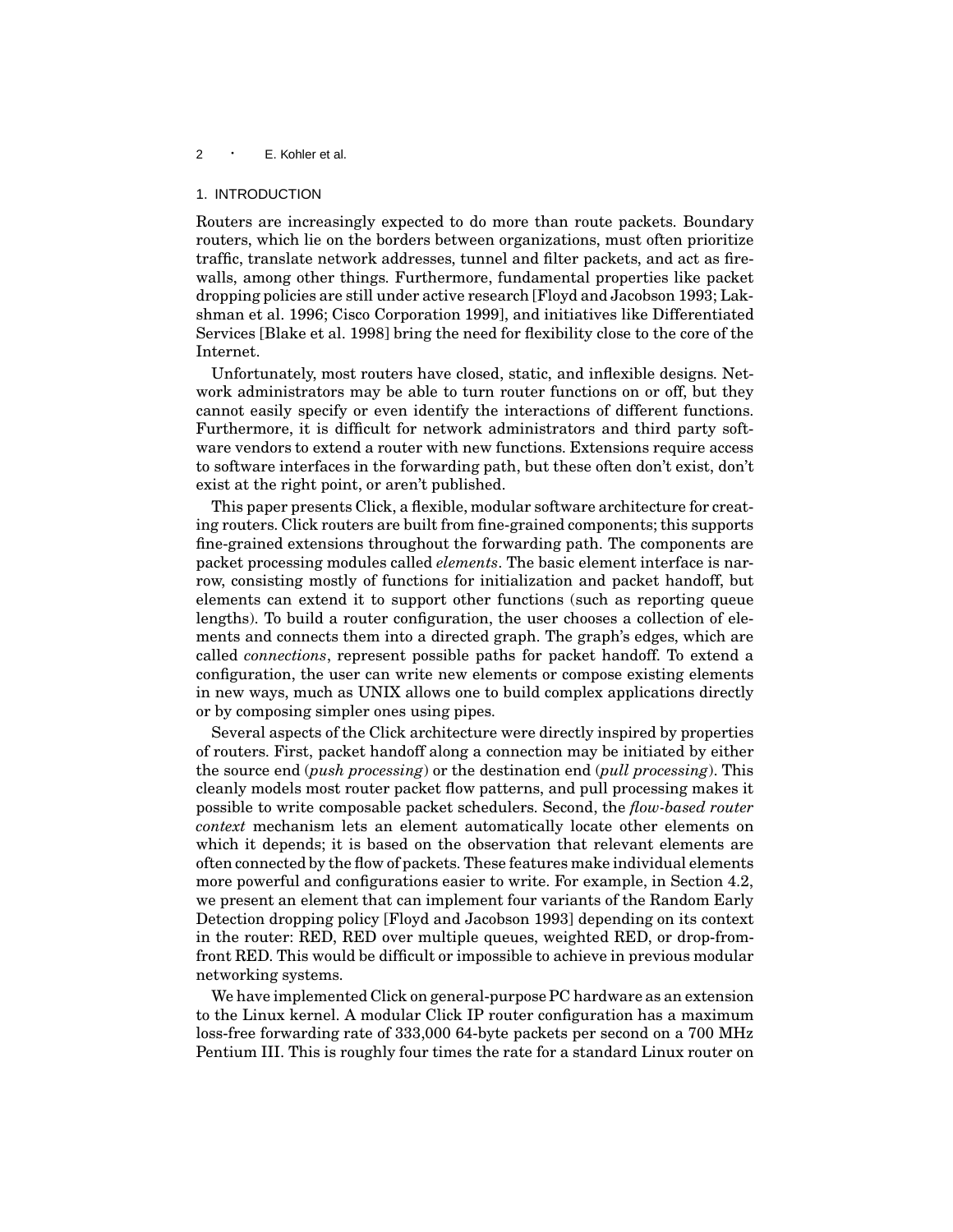### 1. INTRODUCTION

Routers are increasingly expected to do more than route packets. Boundary routers, which lie on the borders between organizations, must often prioritize traffic, translate network addresses, tunnel and filter packets, and act as firewalls, among other things. Furthermore, fundamental properties like packet dropping policies are still under active research [Floyd and Jacobson 1993; Lakshman et al. 1996; Cisco Corporation 1999], and initiatives like Differentiated Services [Blake et al. 1998] bring the need for flexibility close to the core of the Internet.

Unfortunately, most routers have closed, static, and inflexible designs. Network administrators may be able to turn router functions on or off, but they cannot easily specify or even identify the interactions of different functions. Furthermore, it is difficult for network administrators and third party software vendors to extend a router with new functions. Extensions require access to software interfaces in the forwarding path, but these often don't exist, don't exist at the right point, or aren't published.

This paper presents Click, a flexible, modular software architecture for creating routers. Click routers are built from fine-grained components; this supports fine-grained extensions throughout the forwarding path. The components are packet processing modules called *elements*. The basic element interface is narrow, consisting mostly of functions for initialization and packet handoff, but elements can extend it to support other functions (such as reporting queue lengths). To build a router configuration, the user chooses a collection of elements and connects them into a directed graph. The graph's edges, which are called *connections*, represent possible paths for packet handoff. To extend a configuration, the user can write new elements or compose existing elements in new ways, much as UNIX allows one to build complex applications directly or by composing simpler ones using pipes.

Several aspects of the Click architecture were directly inspired by properties of routers. First, packet handoff along a connection may be initiated by either the source end (*push processing*) or the destination end (*pull processing*). This cleanly models most router packet flow patterns, and pull processing makes it possible to write composable packet schedulers. Second, the *flow-based router context* mechanism lets an element automatically locate other elements on which it depends; it is based on the observation that relevant elements are often connected by the flow of packets. These features make individual elements more powerful and configurations easier to write. For example, in Section 4.2, we present an element that can implement four variants of the Random Early Detection dropping policy [Floyd and Jacobson 1993] depending on its context in the router: RED, RED over multiple queues, weighted RED, or drop-fromfront RED. This would be difficult or impossible to achieve in previous modular networking systems.

We have implemented Click on general-purposePC hardware as an extension to the Linux kernel. A modular Click IP router configuration has a maximum loss-free forwarding rate of 333,000 64-byte packets per second on a 700 MHz Pentium III. This is roughly four times the rate for a standard Linux router on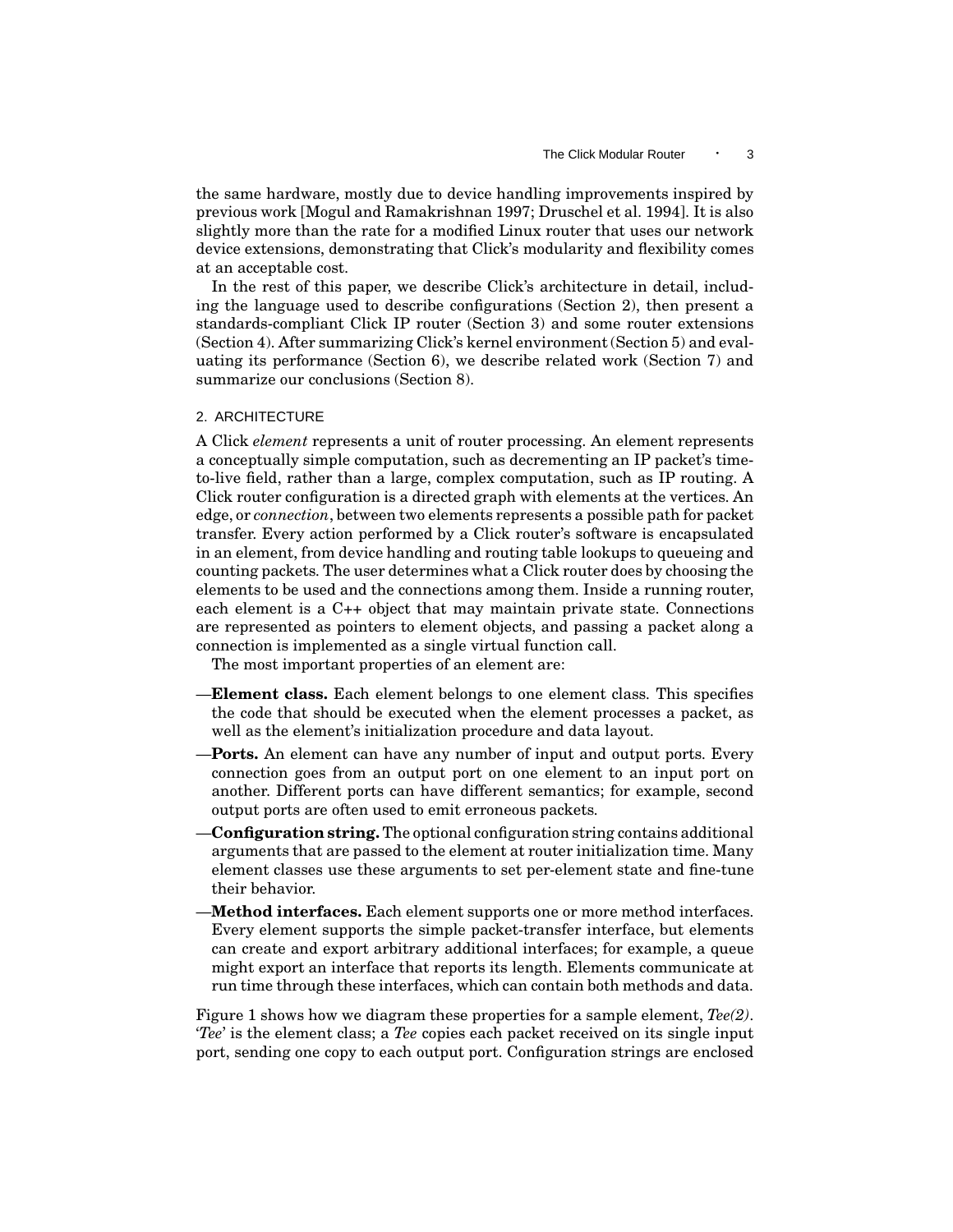the same hardware, mostly due to device handling improvements inspired by previous work [Mogul and Ramakrishnan 1997; Druschel et al. 1994]. It is also slightly more than the rate for a modified Linux router that uses our network device extensions, demonstrating that Click's modularity and flexibility comes at an acceptable cost.

In the rest of this paper, we describe Click's architecture in detail, including the language used to describe configurations (Section 2), then present a standards-compliant Click IP router (Section 3) and some router extensions (Section 4). After summarizing Click's kernel environment(Section 5) and evaluating its performance (Section 6), we describe related work (Section 7) and summarize our conclusions (Section 8).

# 2. ARCHITECTURE

A Click *element* represents a unit of router processing. An element represents a conceptually simple computation, such as decrementing an IP packet's timeto-live field, rather than a large, complex computation, such as IP routing. A Click router configuration is a directed graph with elements at the vertices. An edge, or *connection*, between two elements represents a possible path for packet transfer. Every action performed by a Click router's software is encapsulated in an element, from device handling and routing table lookups to queueing and counting packets. The user determines what a Click router does by choosing the elements to be used and the connections among them. Inside a running router, each element is a C++ object that may maintain private state. Connections are represented as pointers to element objects, and passing a packet along a connection is implemented as a single virtual function call.

The most important properties of an element are:

- —**Element class.** Each element belongs to one element class. This specifies the code that should be executed when the element processes a packet, as well as the element's initialization procedure and data layout.
- —**Ports.** An element can have any number of input and output ports. Every connection goes from an output port on one element to an input port on another. Different ports can have different semantics; for example, second output ports are often used to emit erroneous packets.
- —**Configurationstring.** The optional configuration string contains additional arguments that are passed to the element at router initialization time. Many element classes use these arguments to set per-element state and fine-tune their behavior.
- —**Method interfaces.** Each element supports one or more method interfaces. Every element supports the simple packet-transfer interface, but elements can create and export arbitrary additional interfaces; for example, a queue might export an interface that reports its length. Elements communicate at run time through these interfaces, which can contain both methods and data.

Figure 1 shows how we diagram these properties for a sample element, *Tee(2)*. '*Tee*' is the element class; a *Tee* copies each packet received on its single input port, sending one copy to each output port. Configuration strings are enclosed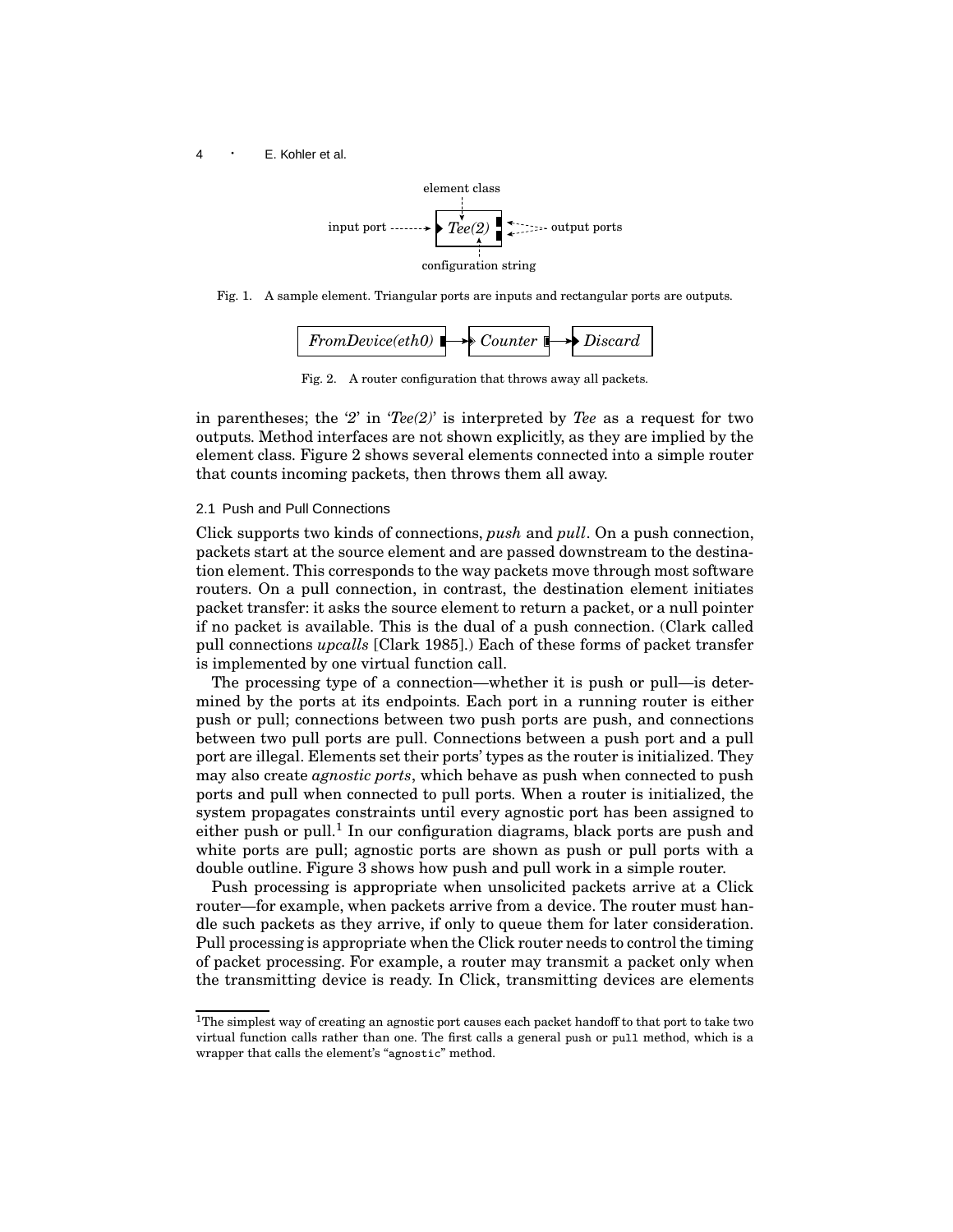

Fig. 1. A sample element. Triangular ports are inputs and rectangular ports are outputs.



Fig. 2. A router configuration that throws away all packets.

in parentheses; the '*2*' in '*Tee(2)*' is interpreted by *Tee* as a request for two outputs. Method interfaces are not shown explicitly, as they are implied by the element class. Figure 2 shows several elements connected into a simple router that counts incoming packets, then throws them all away.

#### 2.1 Push and Pull Connections

Click supports two kinds of connections, *push* and *pull*. On a push connection, packets start at the source element and are passed downstream to the destination element. This corresponds to the way packets move through most software routers. On a pull connection, in contrast, the destination element initiates packet transfer: it asks the source element to return a packet, or a null pointer if no packet is available. This is the dual of a push connection. (Clark called pull connections *upcalls* [Clark 1985].) Each of these forms of packet transfer is implemented by one virtual function call.

The processing type of a connection—whether it is push or pull—is determined by the ports at its endpoints. Each port in a running router is either push or pull; connections between two push ports are push, and connections between two pull ports are pull. Connections between a push port and a pull port are illegal. Elements set their ports' types as the router is initialized. They may also create *agnostic ports*, which behave as push when connected to push ports and pull when connected to pull ports. When a router is initialized, the system propagates constraints until every agnostic port has been assigned to either push or pull.<sup>1</sup> In our configuration diagrams, black ports are push and white ports are pull; agnostic ports are shown as push or pull ports with a double outline. Figure 3 shows how push and pull work in a simple router.

Push processing is appropriate when unsolicited packets arrive at a Click router—for example, when packets arrive from a device. The router must handle such packets as they arrive, if only to queue them for later consideration. Pull processing is appropriate when the Click router needs to control the timing of packet processing. For example, a router may transmit a packet only when the transmitting device is ready. In Click, transmitting devices are elements

 $1$ The simplest way of creating an agnostic port causes each packet handoff to that port to take two virtual function calls rather than one. The first calls a general push or pull method, which is a wrapper that calls the element's "agnostic" method.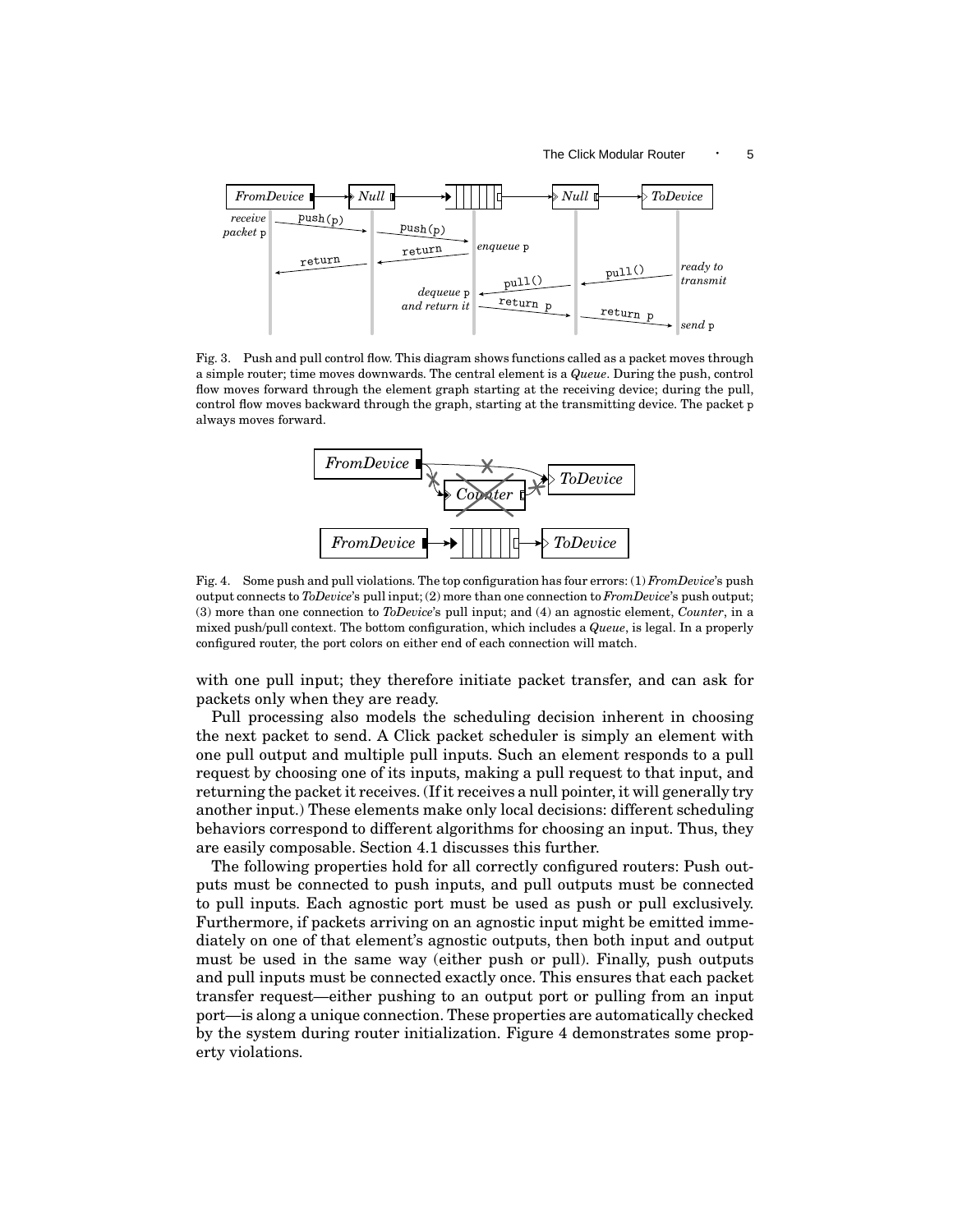

Fig. 3. Push and pull control flow. This diagram shows functions called as a packet moves through a simple router; time moves downwards. The central element is a *Queue*. During the push, control flow moves forward through the element graph starting at the receiving device; during the pull, control flow moves backward through the graph, starting at the transmitting device. The packet p always moves forward.



Fig. 4. Some push and pull violations. The top configuration has four errors: (1) *FromDevice*'s push output connects to *ToDevice*'s pull input; (2) more than one connection to *FromDevice*'s push output; (3) more than one connection to *ToDevice*'s pull input; and (4) an agnostic element, *Counter*, in a mixed push/pull context. The bottom configuration, which includes a *Queue*, is legal. In a properly configured router, the port colors on either end of each connection will match.

with one pull input; they therefore initiate packet transfer, and can ask for packets only when they are ready.

Pull processing also models the scheduling decision inherent in choosing the next packet to send. A Click packet scheduler is simply an element with one pull output and multiple pull inputs. Such an element responds to a pull request by choosing one of its inputs, making a pull request to that input, and returning the packet it receives. (If it receives a null pointer, it will generally try another input.) These elements make only local decisions: different scheduling behaviors correspond to different algorithms for choosing an input. Thus, they are easily composable. Section 4.1 discusses this further.

The following properties hold for all correctly configured routers: Push outputs must be connected to push inputs, and pull outputs must be connected to pull inputs. Each agnostic port must be used as push or pull exclusively. Furthermore, if packets arriving on an agnostic input might be emitted immediately on one of that element's agnostic outputs, then both input and output must be used in the same way (either push or pull). Finally, push outputs and pull inputs must be connected exactly once. This ensures that each packet transfer request—either pushing to an output port or pulling from an input port—is along a unique connection. These properties are automatically checked by the system during router initialization. Figure 4 demonstrates some property violations.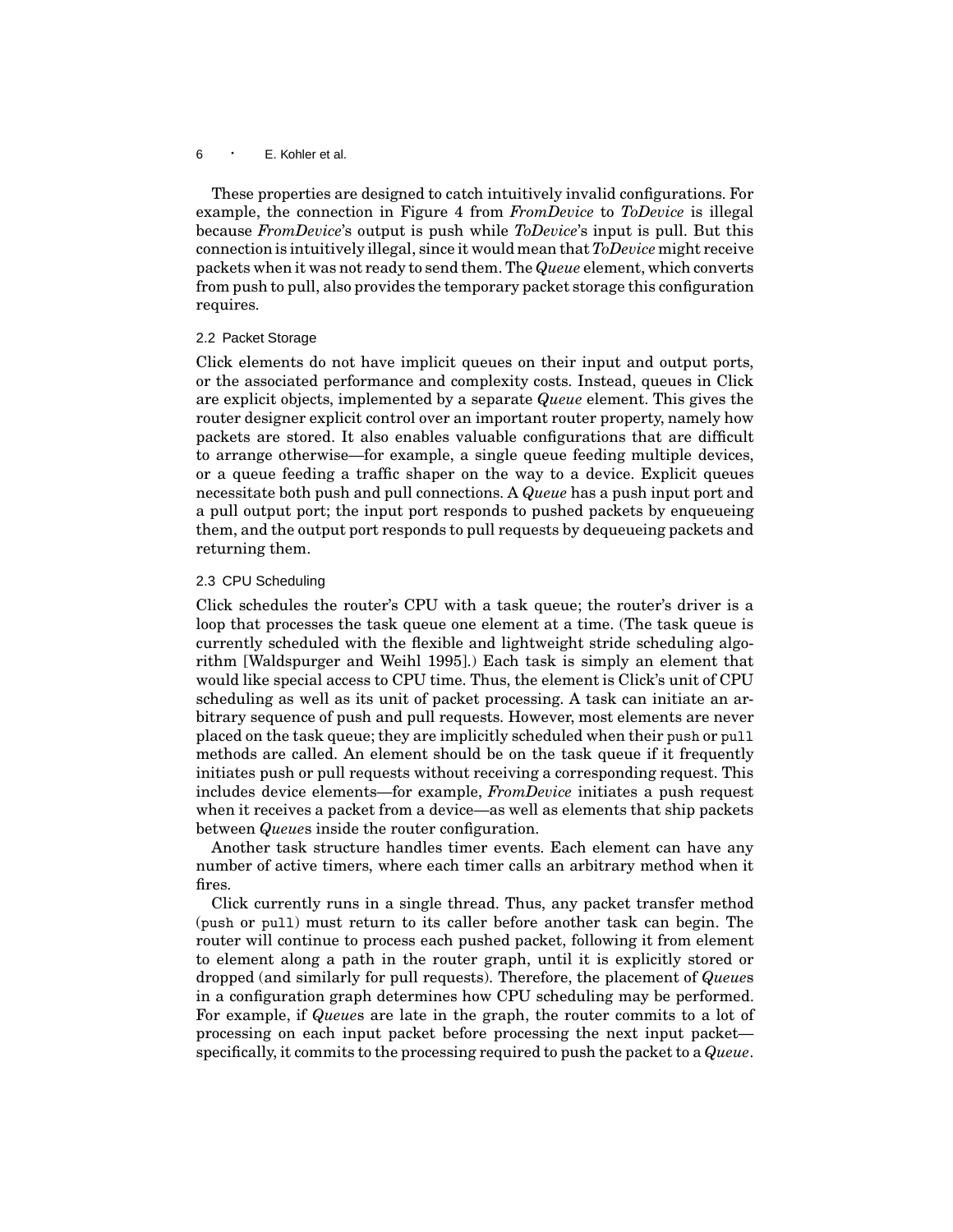These properties are designed to catch intuitively invalid configurations. For example, the connection in Figure 4 from *FromDevice* to *ToDevice* is illegal because *FromDevice*'s output is push while *ToDevice*'s input is pull. But this connection is intuitively illegal, since it would mean that *ToDevice* might receive packets when it was not ready to send them. The *Queue* element, which converts from push to pull, also provides the temporary packet storage this configuration requires.

# 2.2 Packet Storage

Click elements do not have implicit queues on their input and output ports, or the associated performance and complexity costs. Instead, queues in Click are explicit objects, implemented by a separate *Queue* element. This gives the router designer explicit control over an important router property, namely how packets are stored. It also enables valuable configurations that are difficult to arrange otherwise—for example, a single queue feeding multiple devices, or a queue feeding a traffic shaper on the way to a device. Explicit queues necessitate both push and pull connections. A *Queue* has a push input port and a pull output port; the input port responds to pushed packets by enqueueing them, and the output port responds to pull requests by dequeueing packets and returning them.

# 2.3 CPU Scheduling

Click schedules the router's CPU with a task queue; the router's driver is a loop that processes the task queue one element at a time. (The task queue is currently scheduled with the flexible and lightweight stride scheduling algorithm [Waldspurger and Weihl 1995].) Each task is simply an element that would like special access to CPU time. Thus, the element is Click's unit of CPU scheduling as well as its unit of packet processing. A task can initiate an arbitrary sequence of push and pull requests. However, most elements are never placed on the task queue; they are implicitly scheduled when their push or pull methods are called. An element should be on the task queue if it frequently initiates push or pull requests without receiving a corresponding request. This includes device elements—for example, *FromDevice* initiates a push request when it receives a packet from a device—as well as elements that ship packets between *Queue*s inside the router configuration.

Another task structure handles timer events. Each element can have any number of active timers, where each timer calls an arbitrary method when it fires.

Click currently runs in a single thread. Thus, any packet transfer method (push or pull) must return to its caller before another task can begin. The router will continue to process each pushed packet, following it from element to element along a path in the router graph, until it is explicitly stored or dropped (and similarly for pull requests). Therefore, the placement of *Queue*s in a configuration graph determines how CPU scheduling may be performed. For example, if *Queue*s are late in the graph, the router commits to a lot of processing on each input packet before processing the next input packet specifically, it commits to the processing required to push the packet to a *Queue*.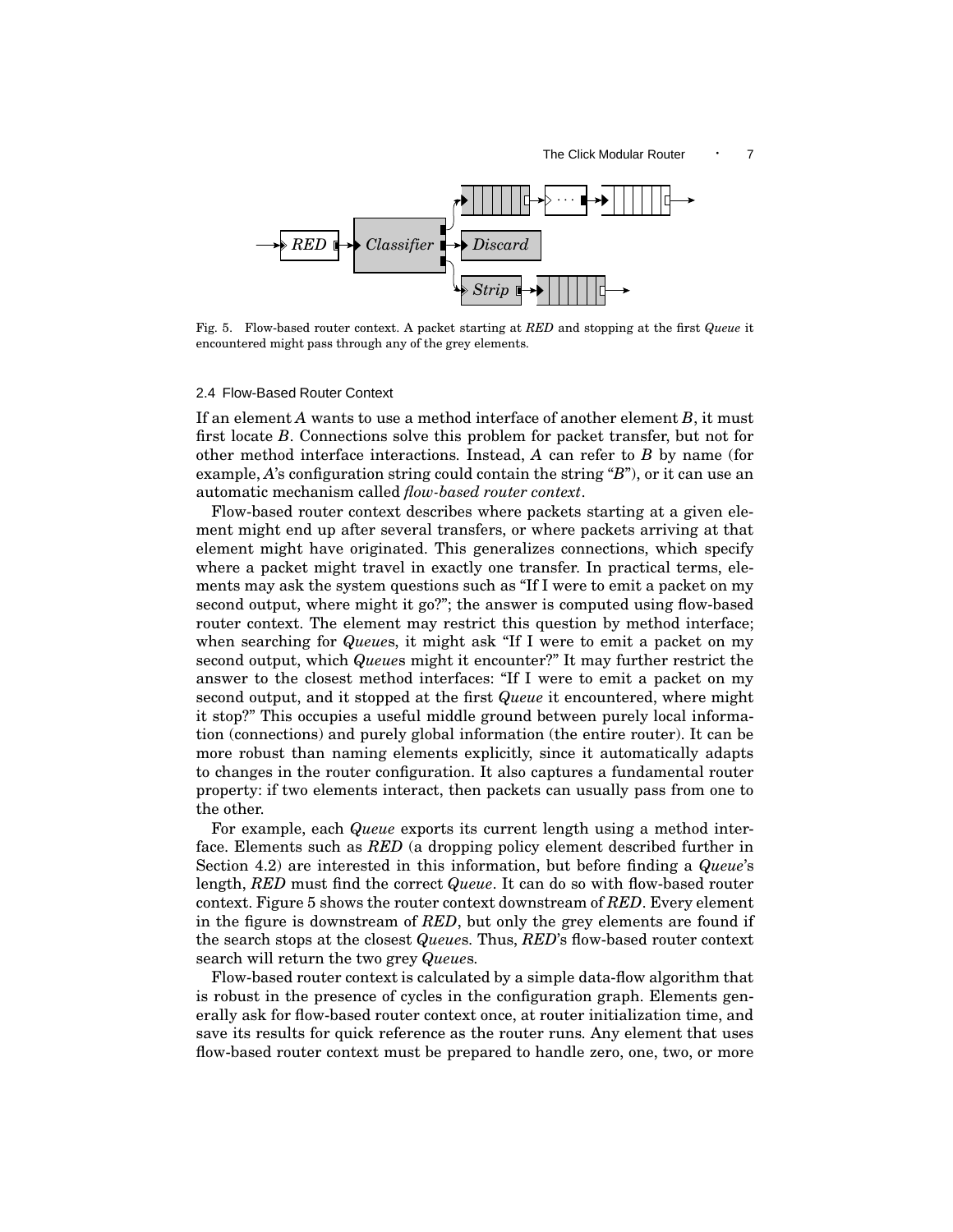

Fig. 5. Flow-based router context. A packet starting at *RED* and stopping at the first *Queue* it encountered might pass through any of the grey elements.

#### 2.4 Flow-Based Router Context

If an element *A* wants to use a method interface of another element *B*, it must first locate *B*. Connections solve this problem for packet transfer, but not for other method interface interactions. Instead, *A* can refer to *B* by name (for example, *A*'s configuration string could contain the string "*B*"), or it can use an automatic mechanism called *flow-based router context*.

Flow-based router context describes where packets starting at a given element might end up after several transfers, or where packets arriving at that element might have originated. This generalizes connections, which specify where a packet might travel in exactly one transfer. In practical terms, elements may ask the system questions such as "If I were to emit a packet on my second output, where might it go?"; the answer is computed using flow-based router context. The element may restrict this question by method interface; when searching for *Queue*s, it might ask "If I were to emit a packet on my second output, which *Queue*s might it encounter?" It may further restrict the answer to the closest method interfaces: "If I were to emit a packet on my second output, and it stopped at the first *Queue* it encountered, where might it stop?" This occupies a useful middle ground between purely local information (connections) and purely global information (the entire router). It can be more robust than naming elements explicitly, since it automatically adapts to changes in the router configuration. It also captures a fundamental router property: if two elements interact, then packets can usually pass from one to the other.

For example, each *Queue* exports its current length using a method interface. Elements such as *RED* (a dropping policy element described further in Section 4.2) are interested in this information, but before finding a *Queue*'s length, *RED* must find the correct *Queue*. It can do so with flow-based router context. Figure 5 shows the router context downstream of *RED*. Every element in the figure is downstream of *RED*, but only the grey elements are found if the search stops at the closest *Queue*s. Thus, *RED*'s flow-based router context search will return the two grey *Queue*s.

Flow-based router context is calculated by a simple data-flow algorithm that is robust in the presence of cycles in the configuration graph. Elements generally ask for flow-based router context once, at router initialization time, and save its results for quick reference as the router runs. Any element that uses flow-based router context must be prepared to handle zero, one, two, or more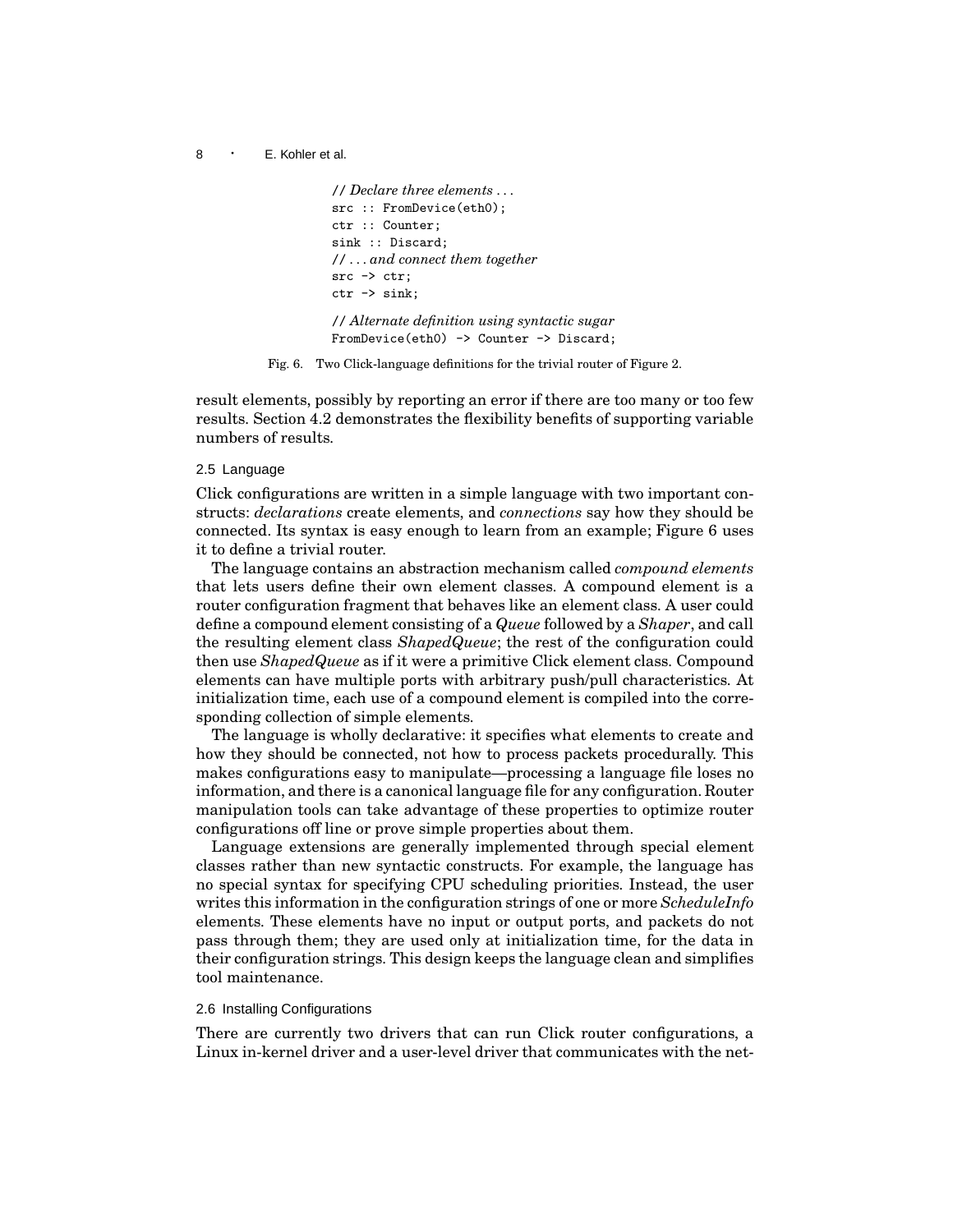```
// Declare three elements . . .
src :: FromDevice(eth0);
ctr :: Counter;
sink :: Discard;
// . . . and connect them together
src -> ctr;
ctr -> sink;
// Alternate definition using syntactic sugar
FromDevice(eth0) -> Counter -> Discard;
```
Fig. 6. Two Click-language definitions for the trivial router of Figure 2.

result elements, possibly by reporting an error if there are too many or too few results. Section 4.2 demonstrates the flexibility benefits of supporting variable numbers of results.

# 2.5 Language

Click configurations are written in a simple language with two important constructs: *declarations* create elements, and *connections* say how they should be connected. Its syntax is easy enough to learn from an example; Figure 6 uses it to define a trivial router.

The language contains an abstraction mechanism called *compound elements* that lets users define their own element classes. A compound element is a router configuration fragment that behaves like an element class. A user could define a compound element consisting of a *Queue* followed by a *Shaper*, and call the resulting element class *ShapedQueue*; the rest of the configuration could then use *ShapedQueue* as if it were a primitive Click element class. Compound elements can have multiple ports with arbitrary push/pull characteristics. At initialization time, each use of a compound element is compiled into the corresponding collection of simple elements.

The language is wholly declarative: it specifies what elements to create and how they should be connected, not how to process packets procedurally. This makes configurations easy to manipulate—processing a language file loses no information, and there is a canonical language file for any configuration. Router manipulation tools can take advantage of these properties to optimize router configurations off line or prove simple properties about them.

Language extensions are generally implemented through special element classes rather than new syntactic constructs. For example, the language has no special syntax for specifying CPU scheduling priorities. Instead, the user writes this information in the configuration strings of one or more *ScheduleInfo* elements. These elements have no input or output ports, and packets do not pass through them; they are used only at initialization time, for the data in their configuration strings. This design keeps the language clean and simplifies tool maintenance.

# 2.6 Installing Configurations

There are currently two drivers that can run Click router configurations, a Linux in-kernel driver and a user-level driver that communicates with the net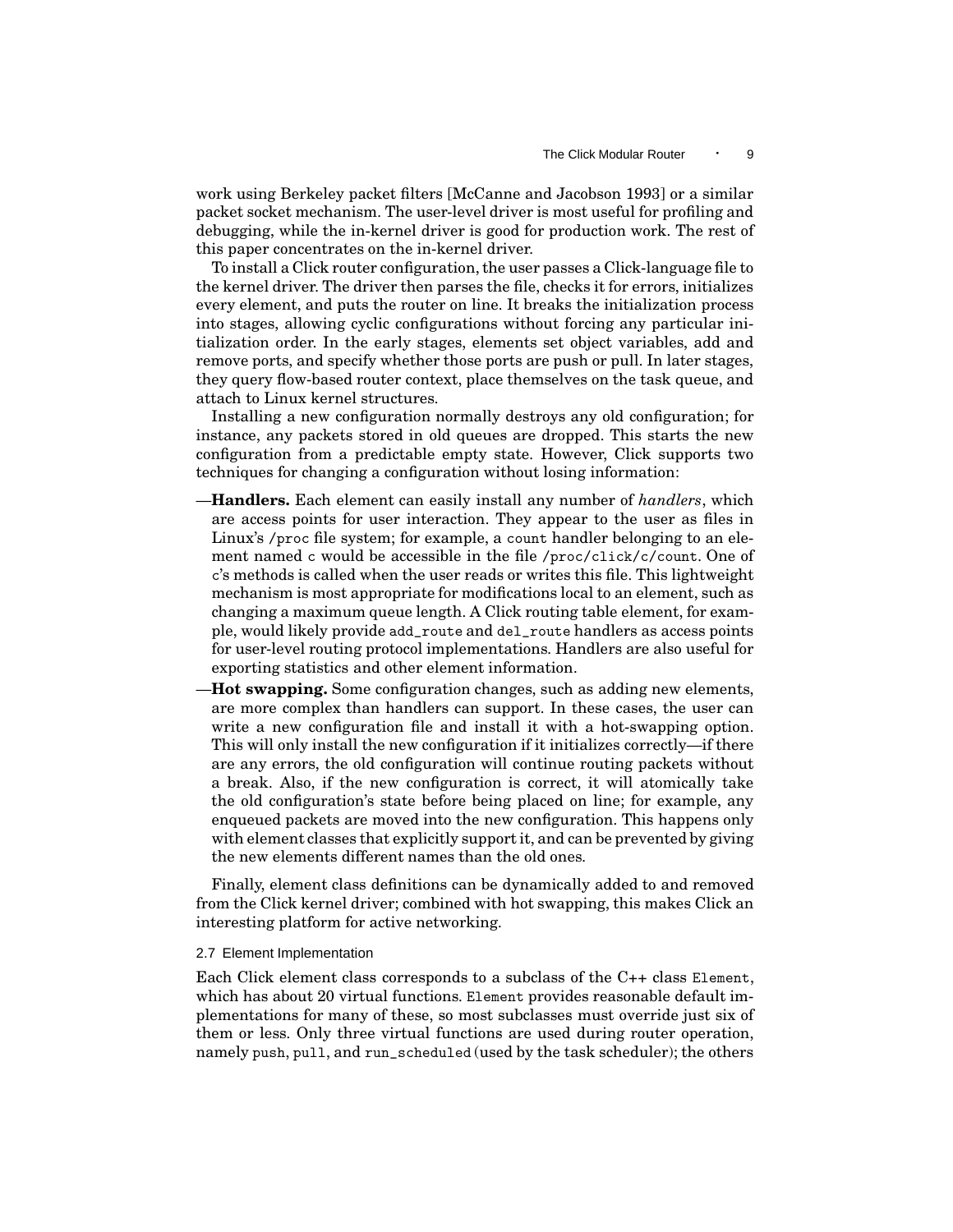work using Berkeley packet filters [McCanne and Jacobson 1993] or a similar packet socket mechanism. The user-level driver is most useful for profiling and debugging, while the in-kernel driver is good for production work. The rest of this paper concentrates on the in-kernel driver.

To install a Click router configuration, the user passes a Click-language file to the kernel driver. The driver then parses the file, checks it for errors, initializes every element, and puts the router on line. It breaks the initialization process into stages, allowing cyclic configurations without forcing any particular initialization order. In the early stages, elements set object variables, add and remove ports, and specify whether those ports are push or pull. In later stages, they query flow-based router context, place themselves on the task queue, and attach to Linux kernel structures.

Installing a new configuration normally destroys any old configuration; for instance, any packets stored in old queues are dropped. This starts the new configuration from a predictable empty state. However, Click supports two techniques for changing a configuration without losing information:

- —**Handlers.** Each element can easily install any number of *handlers*, which are access points for user interaction. They appear to the user as files in Linux's /proc file system; for example, a count handler belonging to an element named c would be accessible in the file /proc/click/c/count. One of c's methods is called when the user reads or writes this file. This lightweight mechanism is most appropriate for modifications local to an element, such as changing a maximum queue length. A Click routing table element, for example, would likely provide add\_route and del\_route handlers as access points for user-level routing protocol implementations. Handlers are also useful for exporting statistics and other element information.
- —**Hot swapping.** Some configuration changes, such as adding new elements, are more complex than handlers can support. In these cases, the user can write a new configuration file and install it with a hot-swapping option. This will only install the new configuration if it initializes correctly—if there are any errors, the old configuration will continue routing packets without a break. Also, if the new configuration is correct, it will atomically take the old configuration's state before being placed on line; for example, any enqueued packets are moved into the new configuration. This happens only with element classes that explicitly support it, and can be prevented by giving the new elements different names than the old ones.

Finally, element class definitions can be dynamically added to and removed from the Click kernel driver; combined with hot swapping, this makes Click an interesting platform for active networking.

# 2.7 Element Implementation

Each Click element class corresponds to a subclass of the C++ class Element, which has about 20 virtual functions. Element provides reasonable default implementations for many of these, so most subclasses must override just six of them or less. Only three virtual functions are used during router operation, namely push, pull, and run\_scheduled (used by the task scheduler); the others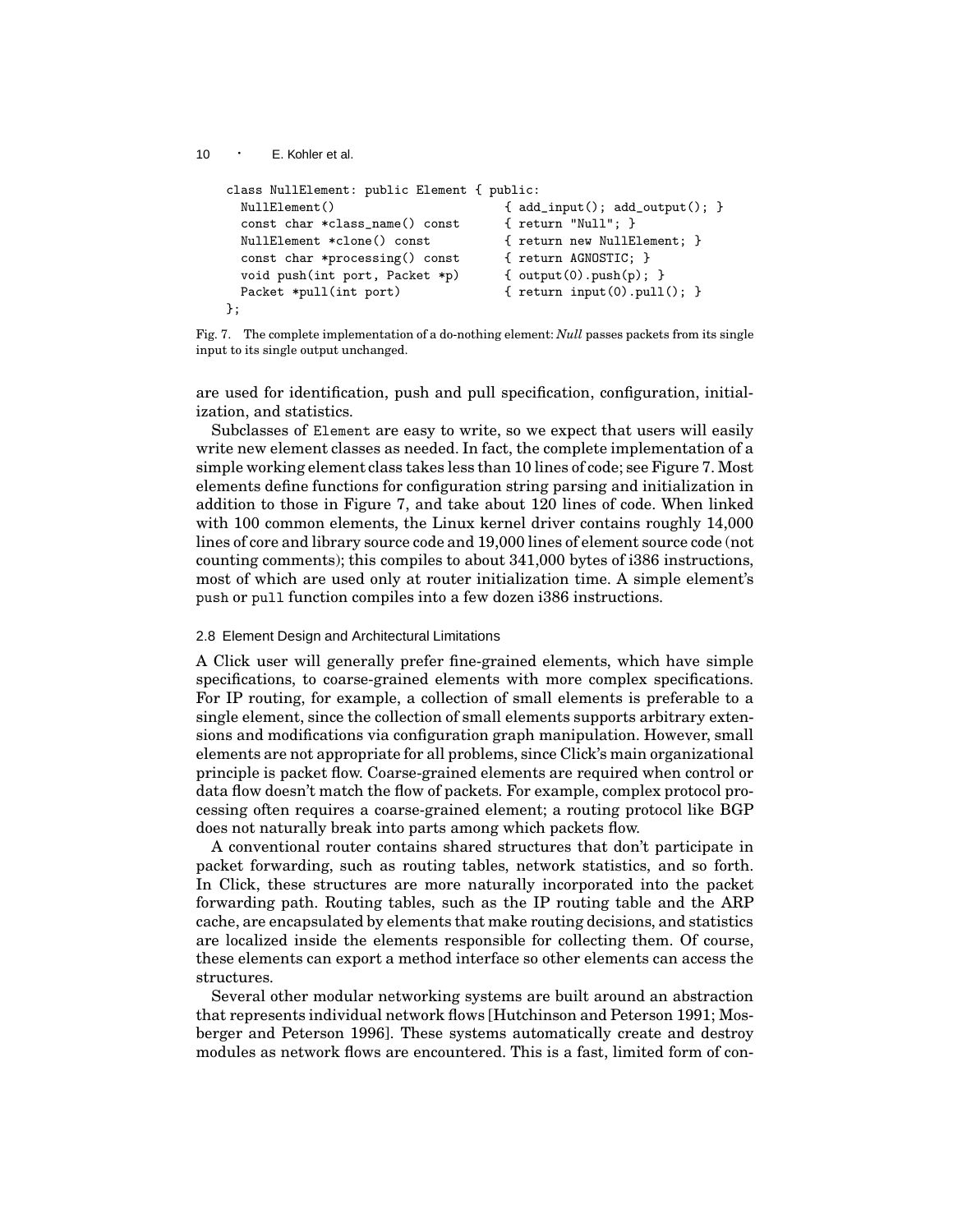```
10 · E. Kohler et al.
   class NullElement: public Element { public:
     NullElement() \{ add\_input(); add\_output(); \}const char *class_name() const { return "Null"; }
     NullElement *clone() const { return new NullElement; }
     const char *processing() const { return AGNOSTIC; }
     void push(int port, Packet *p) { output(0).push(p); }
     Packet *pull(int port) { return input(0).pull(); }
   };
```

```
Fig. 7. The complete implementation of a do-nothing element: Null passes packets from its single
input to its single output unchanged.
```
are used for identification, push and pull specification, configuration, initialization, and statistics.

Subclasses of Element are easy to write, so we expect that users will easily write new element classes as needed. In fact, the complete implementation of a simple working element class takes less than 10 lines of code; see Figure 7. Most elements define functions for configuration string parsing and initialization in addition to those in Figure 7, and take about 120 lines of code. When linked with 100 common elements, the Linux kernel driver contains roughly 14,000 lines of core and library source code and 19,000 lines of element source code (not counting comments); this compiles to about 341,000 bytes of i386 instructions, most of which are used only at router initialization time. A simple element's push or pull function compiles into a few dozen i386 instructions.

#### 2.8 Element Design and Architectural Limitations

A Click user will generally prefer fine-grained elements, which have simple specifications, to coarse-grained elements with more complex specifications. For IP routing, for example, a collection of small elements is preferable to a single element, since the collection of small elements supports arbitrary extensions and modifications via configuration graph manipulation. However, small elements are not appropriate for all problems, since Click's main organizational principle is packet flow. Coarse-grained elements are required when control or data flow doesn't match the flow of packets. For example, complex protocol processing often requires a coarse-grained element; a routing protocol like BGP does not naturally break into parts among which packets flow.

A conventional router contains shared structures that don't participate in packet forwarding, such as routing tables, network statistics, and so forth. In Click, these structures are more naturally incorporated into the packet forwarding path. Routing tables, such as the IP routing table and the ARP cache, are encapsulated by elements that make routing decisions, and statistics are localized inside the elements responsible for collecting them. Of course, these elements can export a method interface so other elements can access the structures.

Several other modular networking systems are built around an abstraction that represents individual network flows [Hutchinson and Peterson 1991; Mosberger and Peterson 1996]. These systems automatically create and destroy modules as network flows are encountered. This is a fast, limited form of con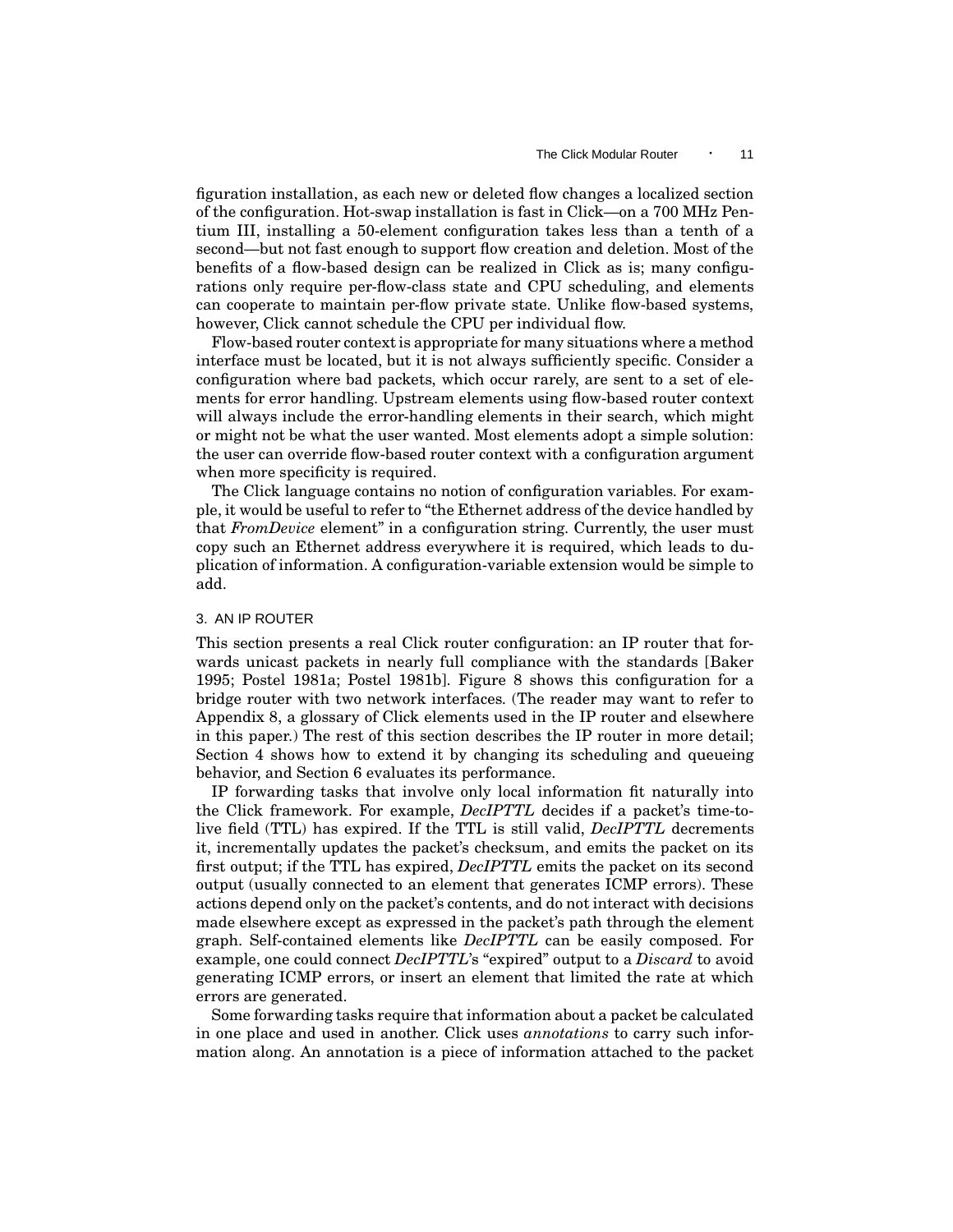figuration installation, as each new or deleted flow changes a localized section of the configuration. Hot-swap installation is fast in Click—on a 700 MHz Pentium III, installing a 50-element configuration takes less than a tenth of a second—but not fast enough to support flow creation and deletion. Most of the benefits of a flow-based design can be realized in Click as is; many configurations only require per-flow-class state and CPU scheduling, and elements can cooperate to maintain per-flow private state. Unlike flow-based systems, however, Click cannot schedule the CPU per individual flow.

Flow-based router contextis appropriate for many situations where a method interface must be located, but it is not always sufficiently specific. Consider a configuration where bad packets, which occur rarely, are sent to a set of elements for error handling. Upstream elements using flow-based router context will always include the error-handling elements in their search, which might or might not be what the user wanted. Most elements adopt a simple solution: the user can override flow-based router context with a configuration argument when more specificity is required.

The Click language contains no notion of configuration variables. For example, it would be useful to refer to "the Ethernet address of the device handled by that *FromDevice* element" in a configuration string. Currently, the user must copy such an Ethernet address everywhere it is required, which leads to duplication of information. A configuration-variable extension would be simple to add.

# 3. AN IP ROUTER

This section presents a real Click router configuration: an IP router that forwards unicast packets in nearly full compliance with the standards [Baker 1995; Postel 1981a; Postel 1981b]. Figure 8 shows this configuration for a bridge router with two network interfaces. (The reader may want to refer to Appendix 8, a glossary of Click elements used in the IP router and elsewhere in this paper.) The rest of this section describes the IP router in more detail; Section 4 shows how to extend it by changing its scheduling and queueing behavior, and Section 6 evaluates its performance.

IP forwarding tasks that involve only local information fit naturally into the Click framework. For example, *DecIPTTL* decides if a packet's time-tolive field (TTL) has expired. If the TTL is still valid, *DecIPTTL* decrements it, incrementally updates the packet's checksum, and emits the packet on its first output; if the TTL has expired, *DecIPTTL* emits the packet on its second output (usually connected to an element that generates ICMP errors). These actions depend only on the packet's contents, and do not interact with decisions made elsewhere except as expressed in the packet's path through the element graph. Self-contained elements like *DecIPTTL* can be easily composed. For example, one could connect *DecIPTTL*'s "expired" output to a *Discard* to avoid generating ICMP errors, or insert an element that limited the rate at which errors are generated.

Some forwarding tasks require that information about a packet be calculated in one place and used in another. Click uses *annotations* to carry such information along. An annotation is a piece of information attached to the packet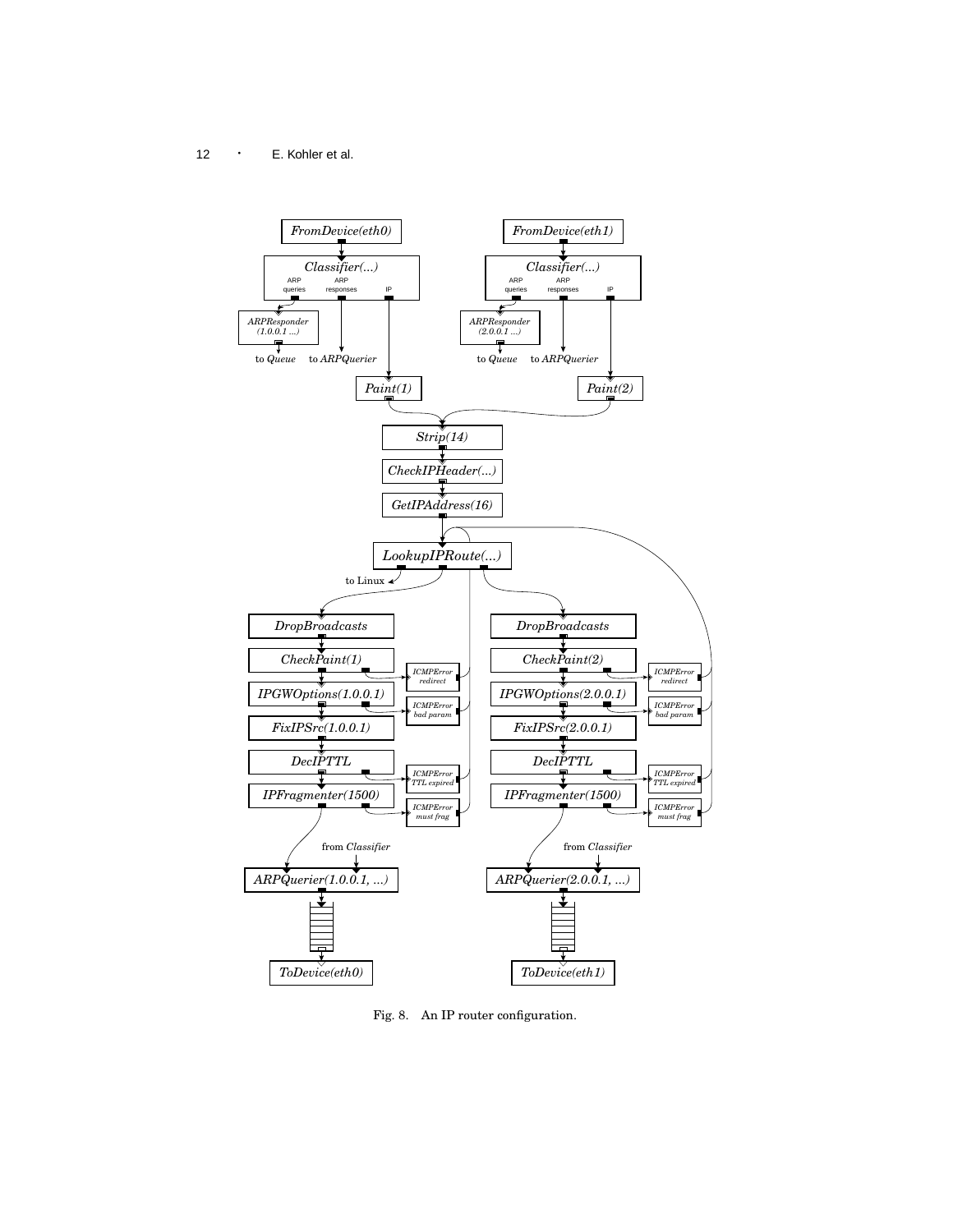

Fig. 8. An IP router configuration.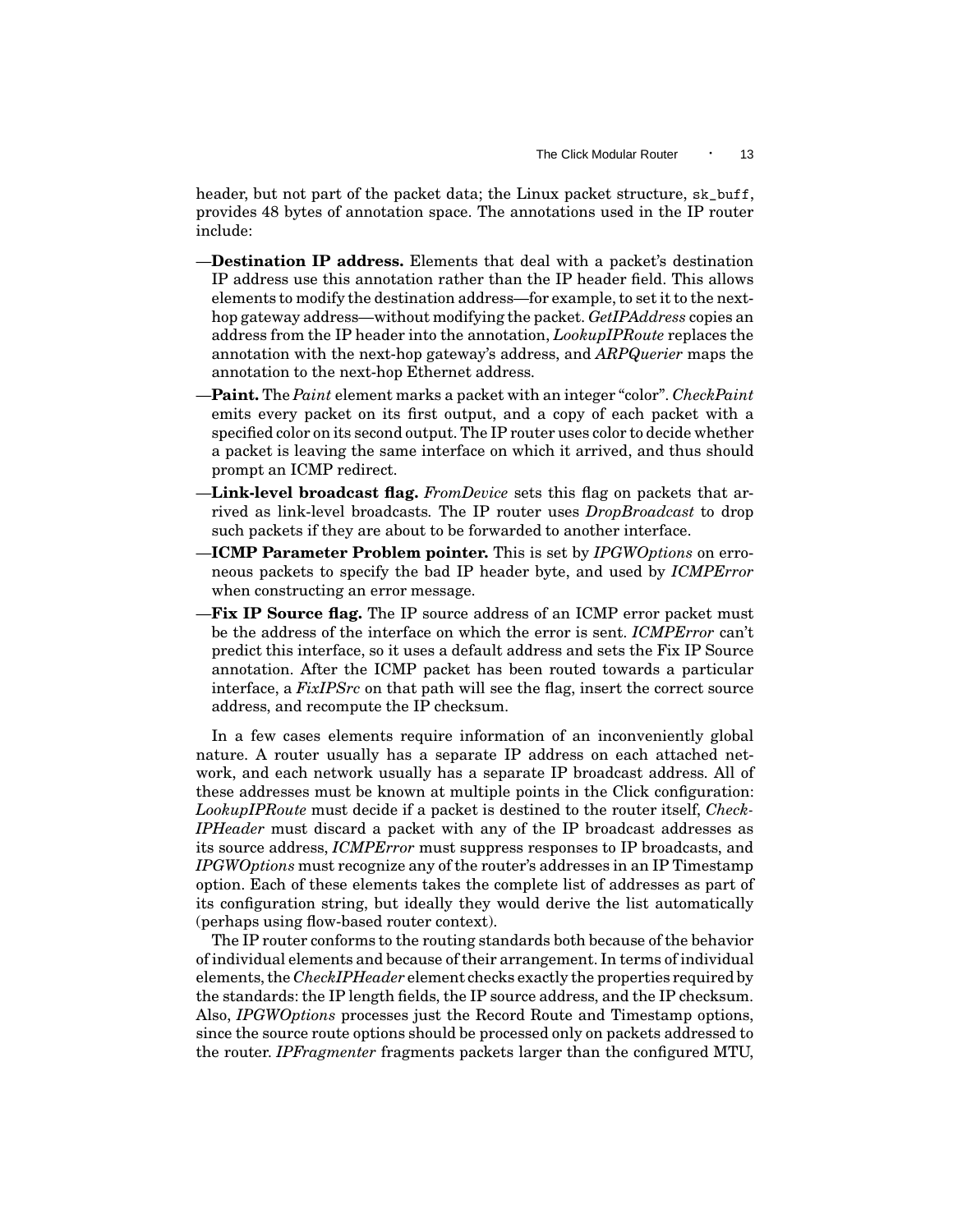header, but not part of the packet data; the Linux packet structure, sk\_buff, provides 48 bytes of annotation space. The annotations used in the IP router include:

- —**Destination IP address.** Elements that deal with a packet's destination IP address use this annotation rather than the IP header field. This allows elements to modify the destination address—for example, to set it to the nexthop gateway address—without modifying the packet. *GetIPAddress* copies an address from the IP header into the annotation, *LookupIPRoute* replaces the annotation with the next-hop gateway's address, and *ARPQuerier* maps the annotation to the next-hop Ethernet address.
- —**Paint.** The *Paint* element marks a packet with an integer "color". *CheckPaint* emits every packet on its first output, and a copy of each packet with a specified color on its second output. The IP router uses color to decide whether a packet is leaving the same interface on which it arrived, and thus should prompt an ICMP redirect.
- —**Link-level broadcast flag.** *FromDevice* sets this flag on packets that arrived as link-level broadcasts. The IP router uses *DropBroadcast* to drop such packets if they are about to be forwarded to another interface.
- —**ICMP Parameter Problem pointer.** This is set by *IPGWOptions* on erroneous packets to specify the bad IP header byte, and used by *ICMPError* when constructing an error message.
- —**Fix IP Source flag.** The IP source address of an ICMP error packet must be the address of the interface on which the error is sent. *ICMPError* can't predict this interface, so it uses a default address and sets the Fix IP Source annotation. After the ICMP packet has been routed towards a particular interface, a *FixIPSrc* on that path will see the flag, insert the correct source address, and recompute the IP checksum.

In a few cases elements require information of an inconveniently global nature. A router usually has a separate IP address on each attached network, and each network usually has a separate IP broadcast address. All of these addresses must be known at multiple points in the Click configuration: *LookupIPRoute* must decide if a packet is destined to the router itself, *Check-IPHeader* must discard a packet with any of the IP broadcast addresses as its source address, *ICMPError* must suppress responses to IP broadcasts, and *IPGWOptions* must recognize any of the router's addresses in an IP Timestamp option. Each of these elements takes the complete list of addresses as part of its configuration string, but ideally they would derive the list automatically (perhaps using flow-based router context).

The IP router conforms to the routing standards both because of the behavior of individual elements and because of their arrangement. In terms of individual elements,the *CheckIPHeader* element checks exactly the properties required by the standards: the IP length fields, the IP source address, and the IP checksum. Also, *IPGWOptions* processes just the Record Route and Timestamp options, since the source route options should be processed only on packets addressed to the router. *IPFragmenter* fragments packets larger than the configured MTU,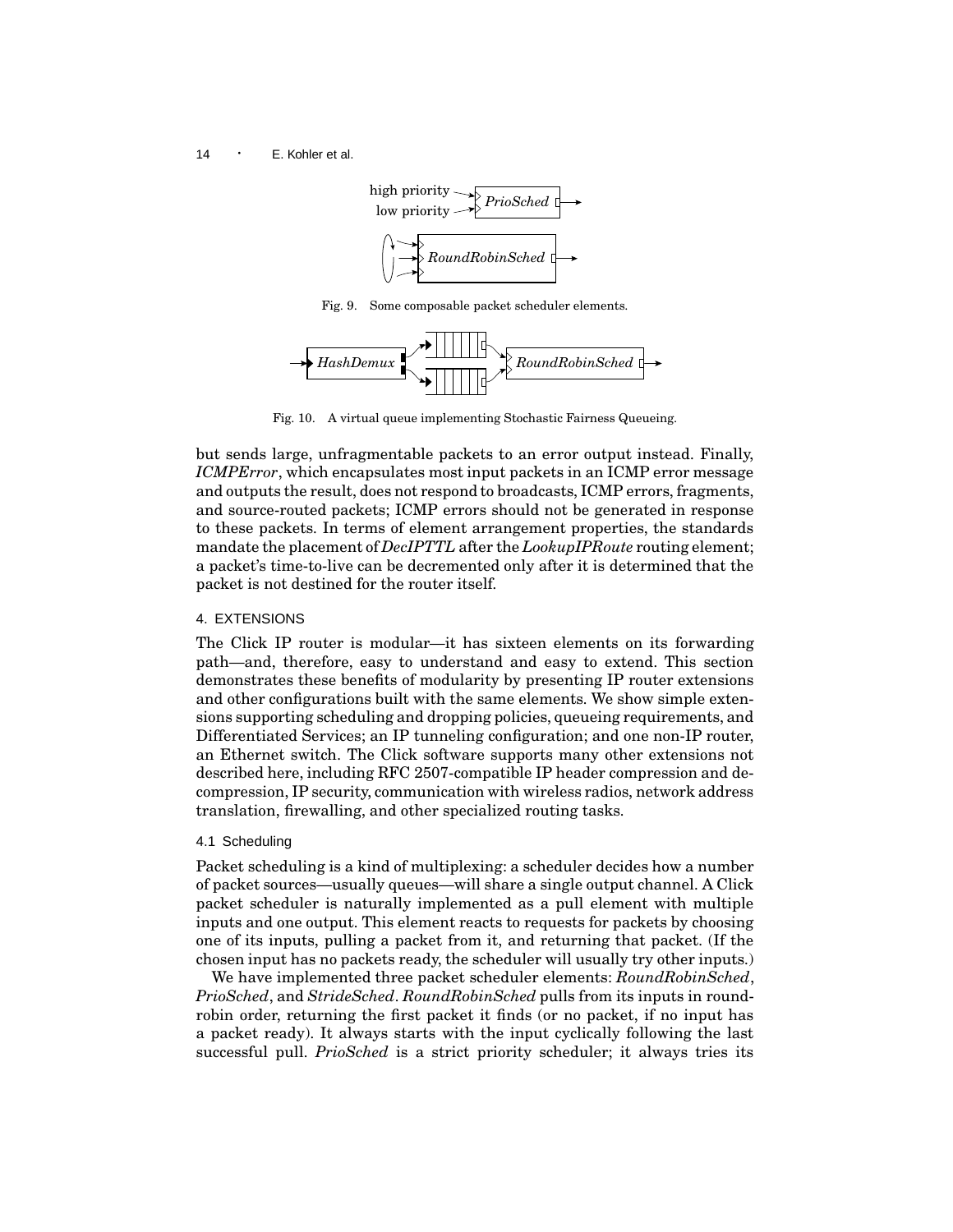

Fig. 9. Some composable packet scheduler elements.



Fig. 10. A virtual queue implementing Stochastic Fairness Queueing.

but sends large, unfragmentable packets to an error output instead. Finally, *ICMPError*, which encapsulates most input packets in an ICMP error message and outputs the result, does not respond to broadcasts, ICMP errors, fragments, and source-routed packets; ICMP errors should not be generated in response to these packets. In terms of element arrangement properties, the standards mandate the placement of *DecIPTTL* after the *LookupIPRoute* routing element; a packet's time-to-live can be decremented only after it is determined that the packet is not destined for the router itself.

# 4. EXTENSIONS

The Click IP router is modular—it has sixteen elements on its forwarding path—and, therefore, easy to understand and easy to extend. This section demonstrates these benefits of modularity by presenting IP router extensions and other configurations built with the same elements. We show simple extensions supporting scheduling and dropping policies, queueing requirements, and Differentiated Services; an IP tunneling configuration; and one non-IP router, an Ethernet switch. The Click software supports many other extensions not described here, including RFC 2507-compatible IP header compression and decompression, IP security, communication with wireless radios, network address translation, firewalling, and other specialized routing tasks.

# 4.1 Scheduling

Packet scheduling is a kind of multiplexing: a scheduler decides how a number of packet sources—usually queues—will share a single output channel. A Click packet scheduler is naturally implemented as a pull element with multiple inputs and one output. This element reacts to requests for packets by choosing one of its inputs, pulling a packet from it, and returning that packet. (If the chosen input has no packets ready, the scheduler will usually try other inputs.)

We have implemented three packet scheduler elements: *RoundRobinSched*, *PrioSched*, and *StrideSched*. *RoundRobinSched* pulls from its inputs in roundrobin order, returning the first packet it finds (or no packet, if no input has a packet ready). It always starts with the input cyclically following the last successful pull. *PrioSched* is a strict priority scheduler; it always tries its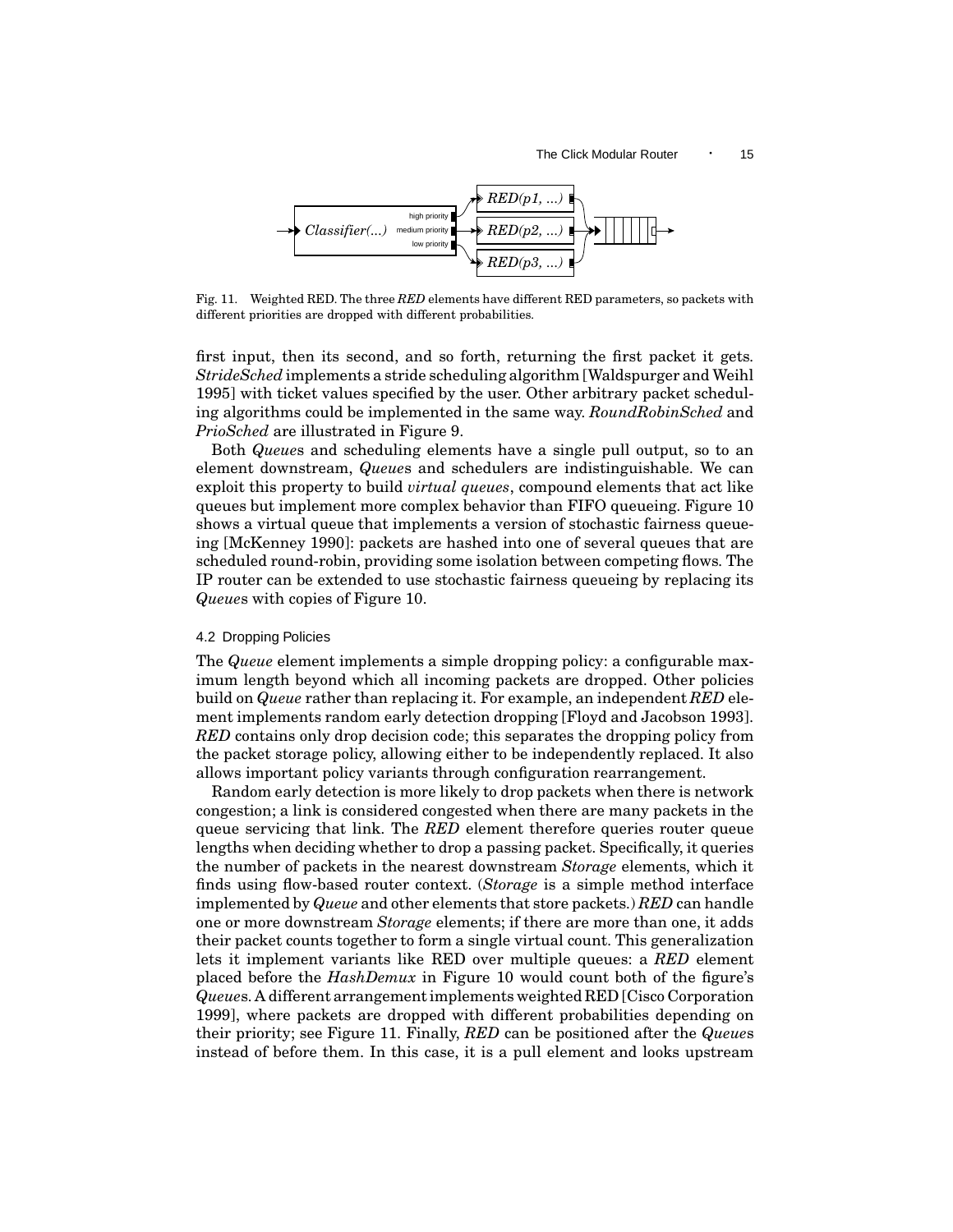

Fig. 11. Weighted RED. The three *RED* elements have different RED parameters, so packets with different priorities are dropped with different probabilities.

first input, then its second, and so forth, returning the first packet it gets. *StrideSched* implements a stride scheduling algorithm [Waldspurger and Weihl 1995] with ticket values specified by the user. Other arbitrary packet scheduling algorithms could be implemented in the same way. *RoundRobinSched* and *PrioSched* are illustrated in Figure 9.

Both *Queue*s and scheduling elements have a single pull output, so to an element downstream, *Queue*s and schedulers are indistinguishable. We can exploit this property to build *virtual queues*, compound elements that act like queues but implement more complex behavior than FIFO queueing. Figure 10 shows a virtual queue that implements a version of stochastic fairness queueing [McKenney 1990]: packets are hashed into one of several queues that are scheduled round-robin, providing some isolation between competing flows. The IP router can be extended to use stochastic fairness queueing by replacing its *Queue*s with copies of Figure 10.

#### 4.2 Dropping Policies

The *Queue* element implements a simple dropping policy: a configurable maximum length beyond which all incoming packets are dropped. Other policies build on *Queue* rather than replacing it. For example, an independent *RED* element implements random early detection dropping [Floyd and Jacobson 1993]. *RED* contains only drop decision code; this separates the dropping policy from the packet storage policy, allowing either to be independently replaced. It also allows important policy variants through configuration rearrangement.

Random early detection is more likely to drop packets when there is network congestion; a link is considered congested when there are many packets in the queue servicing that link. The *RED* element therefore queries router queue lengths when deciding whether to drop a passing packet. Specifically, it queries the number of packets in the nearest downstream *Storage* elements, which it finds using flow-based router context. (*Storage* is a simple method interface implemented by *Queue* and other elements that store packets.) *RED* can handle one or more downstream *Storage* elements; if there are more than one, it adds their packet counts together to form a single virtual count. This generalization lets it implement variants like RED over multiple queues: a *RED* element placed before the *HashDemux* in Figure 10 would count both of the figure's *Queue*s. A different arrangementimplements weighted RED [Cisco Corporation 1999], where packets are dropped with different probabilities depending on their priority; see Figure 11. Finally, *RED* can be positioned after the *Queue*s instead of before them. In this case, it is a pull element and looks upstream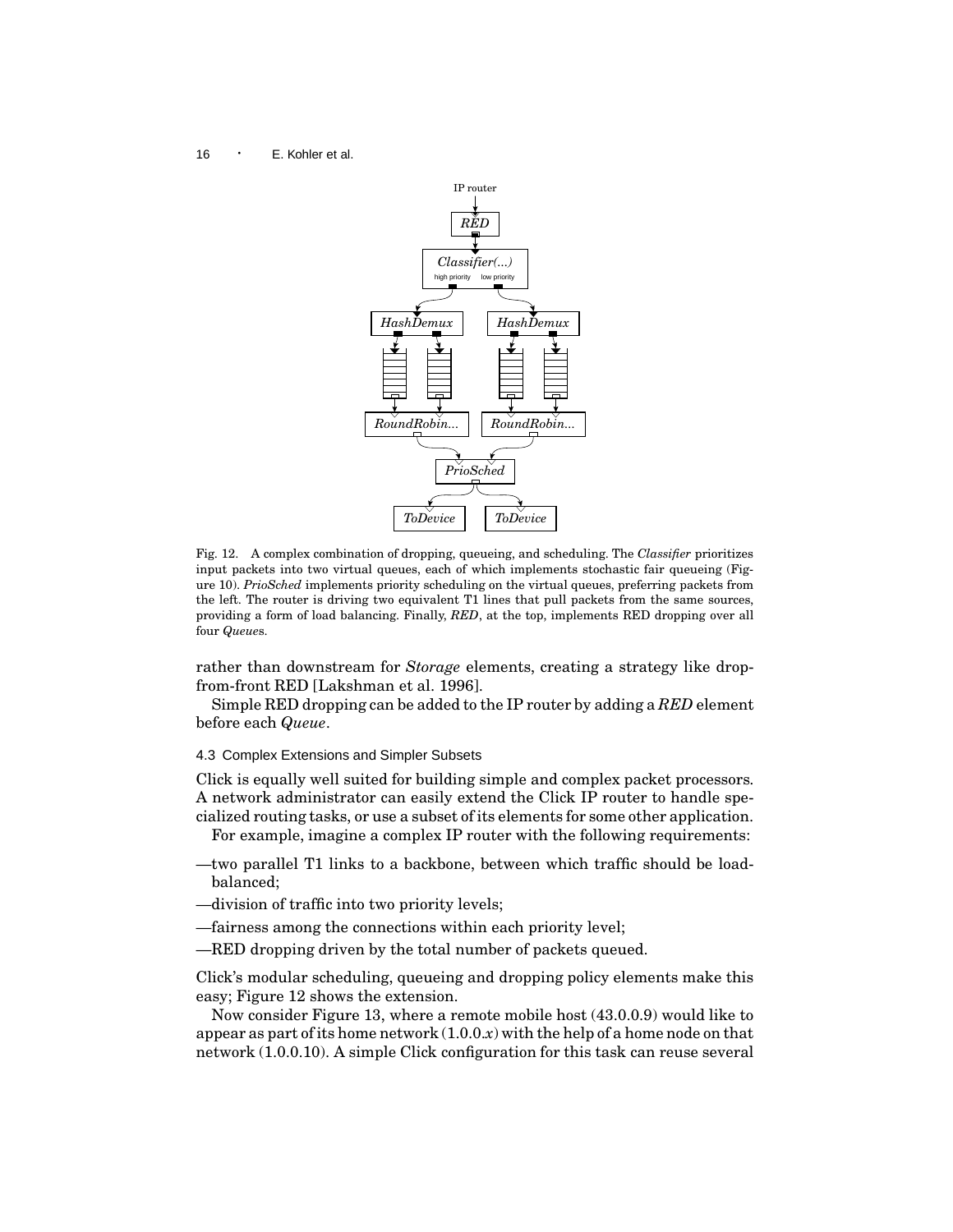

Fig. 12. A complex combination of dropping, queueing, and scheduling. The *Classifier* prioritizes input packets into two virtual queues, each of which implements stochastic fair queueing (Figure 10). *PrioSched* implements priority scheduling on the virtual queues, preferring packets from the left. The router is driving two equivalent T1 lines that pull packets from the same sources, providing a form of load balancing. Finally, *RED*, at the top, implements RED dropping over all four *Queue*s.

rather than downstream for *Storage* elements, creating a strategy like dropfrom-front RED [Lakshman et al. 1996].

Simple RED dropping can be added to the IP router by adding a *RED* element before each *Queue*.

### 4.3 Complex Extensions and Simpler Subsets

Click is equally well suited for building simple and complex packet processors. A network administrator can easily extend the Click IP router to handle specialized routing tasks, or use a subset of its elements for some other application. For example, imagine a complex IP router with the following requirements:

- —two parallel T1 links to a backbone, between which traffic should be loadbalanced;
- —division of traffic into two priority levels;
- —fairness among the connections within each priority level;
- —RED dropping driven by the total number of packets queued.

Click's modular scheduling, queueing and dropping policy elements make this easy; Figure 12 shows the extension.

Now consider Figure 13, where a remote mobile host (43.0.0.9) would like to appear as part of its home network  $(1.0.0.x)$  with the help of a home node on that network (1.0.0.10). A simple Click configuration for this task can reuse several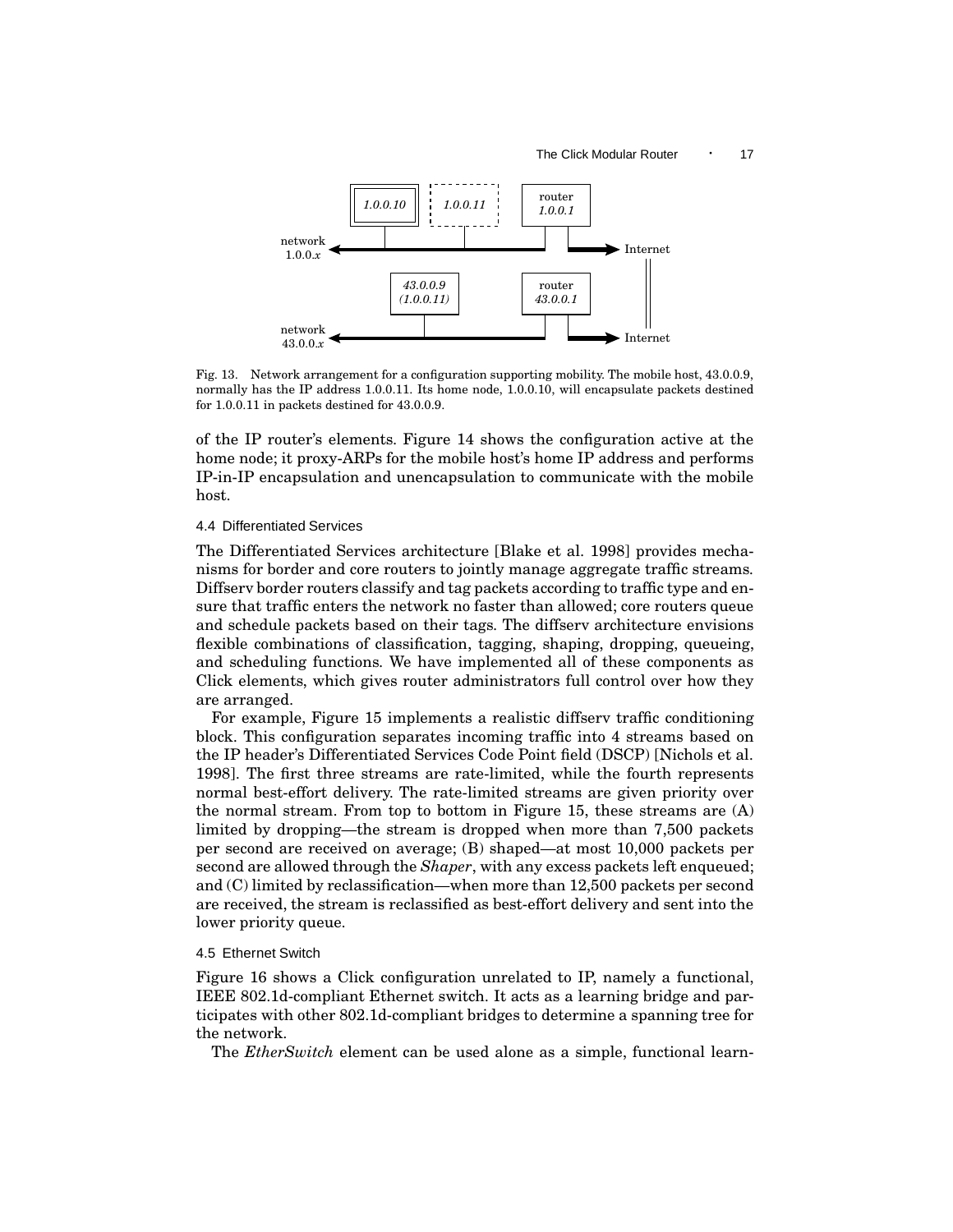

Fig. 13. Network arrangement for a configuration supporting mobility. The mobile host, 43.0.0.9, normally has the IP address 1.0.0.11. Its home node, 1.0.0.10, will encapsulate packets destined for 1.0.0.11 in packets destined for 43.0.0.9.

of the IP router's elements. Figure 14 shows the configuration active at the home node; it proxy-ARPs for the mobile host's home IP address and performs IP-in-IP encapsulation and unencapsulation to communicate with the mobile host.

#### 4.4 Differentiated Services

The Differentiated Services architecture [Blake et al. 1998] provides mechanisms for border and core routers to jointly manage aggregate traffic streams. Diffserv border routers classify and tag packets according to traffic type and ensure that traffic enters the network no faster than allowed; core routers queue and schedule packets based on their tags. The diffserv architecture envisions flexible combinations of classification, tagging, shaping, dropping, queueing, and scheduling functions. We have implemented all of these components as Click elements, which gives router administrators full control over how they are arranged.

For example, Figure 15 implements a realistic diffserv traffic conditioning block. This configuration separates incoming traffic into 4 streams based on the IP header's Differentiated Services Code Point field (DSCP) [Nichols et al. 1998]. The first three streams are rate-limited, while the fourth represents normal best-effort delivery. The rate-limited streams are given priority over the normal stream. From top to bottom in Figure 15, these streams are  $(A)$ limited by dropping—the stream is dropped when more than 7,500 packets per second are received on average; (B) shaped—at most 10,000 packets per second are allowed through the *Shaper*, with any excess packets left enqueued; and (C) limited by reclassification—when more than 12,500 packets per second are received, the stream is reclassified as best-effort delivery and sent into the lower priority queue.

#### 4.5 Ethernet Switch

Figure 16 shows a Click configuration unrelated to IP, namely a functional, IEEE 802.1d-compliant Ethernet switch. It acts as a learning bridge and participates with other 802.1d-compliant bridges to determine a spanning tree for the network.

The *EtherSwitch* element can be used alone as a simple, functional learn-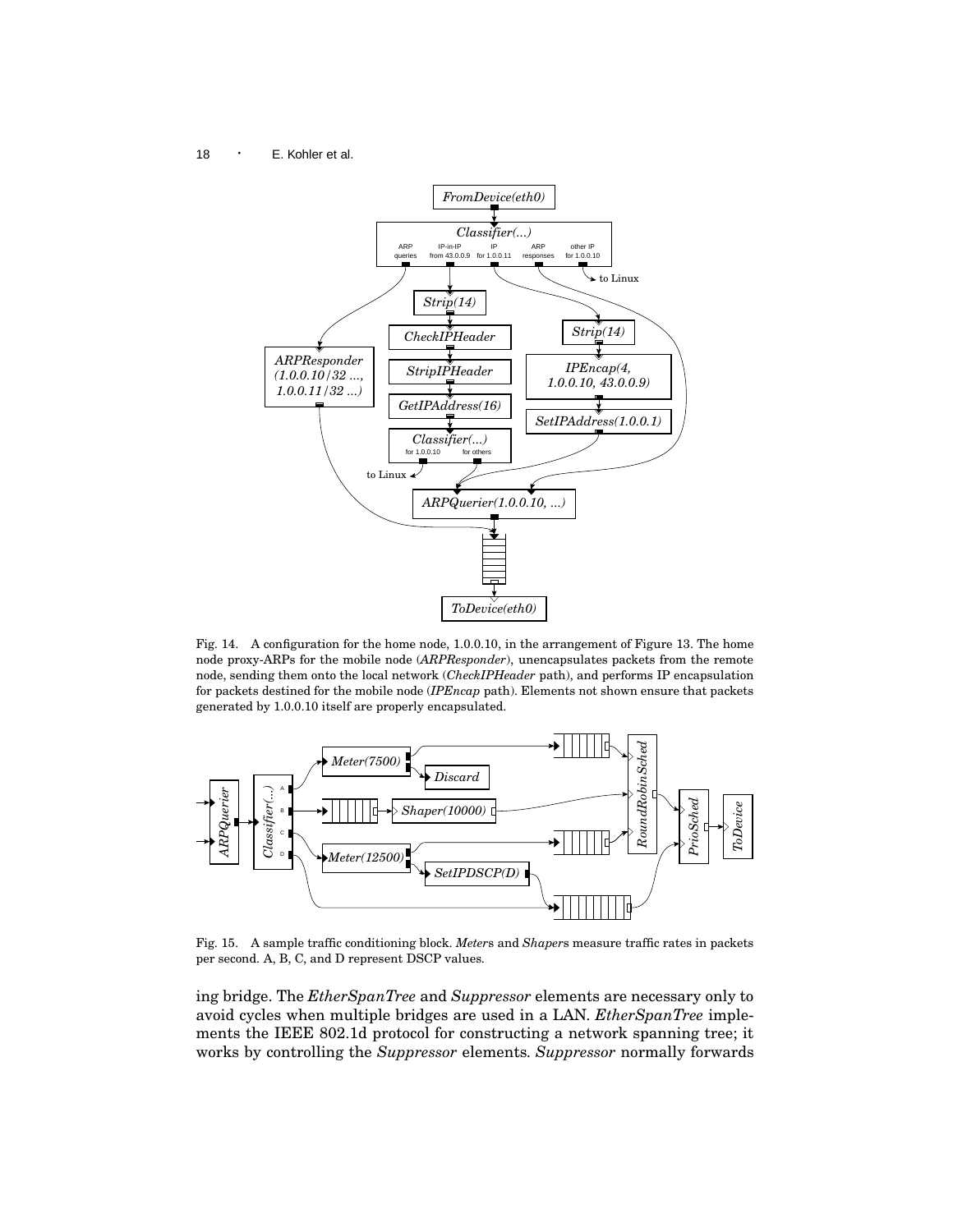

Fig. 14. A configuration for the home node, 1.0.0.10, in the arrangement of Figure 13. The home node proxy-ARPs for the mobile node (*ARPResponder*), unencapsulates packets from the remote node, sending them onto the local network (*CheckIPHeader* path), and performs IP encapsulation for packets destined for the mobile node (*IPEncap* path). Elements not shown ensure that packets generated by 1.0.0.10 itself are properly encapsulated.



Fig. 15. A sample traffic conditioning block. *Meter*s and *Shaper*s measure traffic rates in packets per second. A, B, C, and D represent DSCP values.

ing bridge. The *EtherSpanTree* and *Suppressor* elements are necessary only to avoid cycles when multiple bridges are used in a LAN. *EtherSpanTree* implements the IEEE 802.1d protocol for constructing a network spanning tree; it works by controlling the *Suppressor* elements. *Suppressor* normally forwards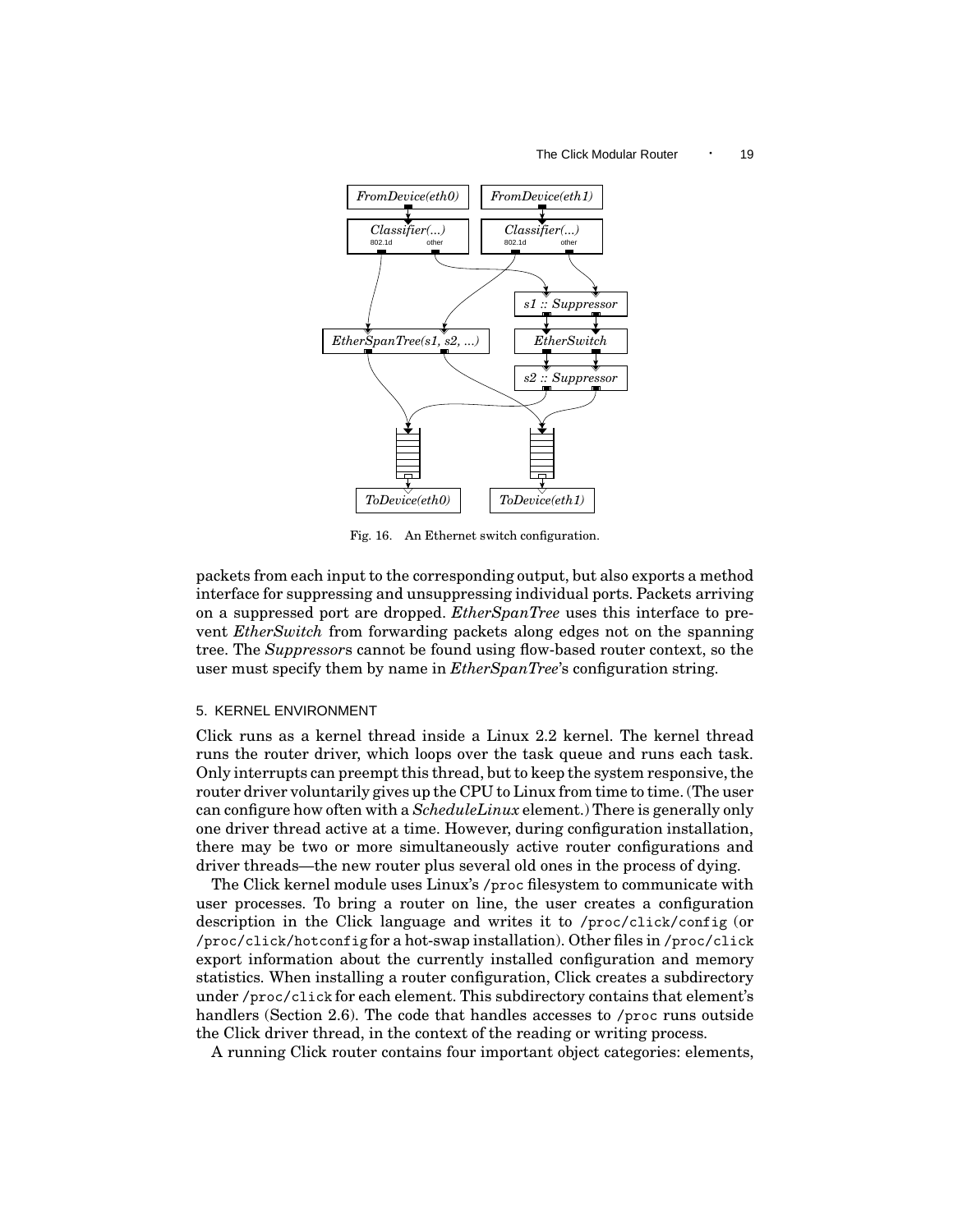

Fig. 16. An Ethernet switch configuration.

packets from each input to the corresponding output, but also exports a method interface for suppressing and unsuppressing individual ports. Packets arriving on a suppressed port are dropped. *EtherSpanTree* uses this interface to prevent *EtherSwitch* from forwarding packets along edges not on the spanning tree. The *Suppressor*s cannot be found using flow-based router context, so the user must specify them by name in *EtherSpanTree*'s configuration string.

#### 5. KERNEL ENVIRONMENT

Click runs as a kernel thread inside a Linux 2.2 kernel. The kernel thread runs the router driver, which loops over the task queue and runs each task. Only interrupts can preempt this thread, but to keep the system responsive, the router driver voluntarily gives up the CPU to Linux from time to time. (The user can configure how often with a *ScheduleLinux* element.) There is generally only one driver thread active at a time. However, during configuration installation, there may be two or more simultaneously active router configurations and driver threads—the new router plus several old ones in the process of dying.

The Click kernel module uses Linux's /proc filesystem to communicate with user processes. To bring a router on line, the user creates a configuration description in the Click language and writes it to /proc/click/config (or /proc/click/hotconfig for a hot-swap installation). Other files in /proc/click export information about the currently installed configuration and memory statistics. When installing a router configuration, Click creates a subdirectory under /proc/click for each element. This subdirectory contains that element's handlers (Section 2.6). The code that handles accesses to /proc runs outside the Click driver thread, in the context of the reading or writing process.

A running Click router contains four important object categories: elements,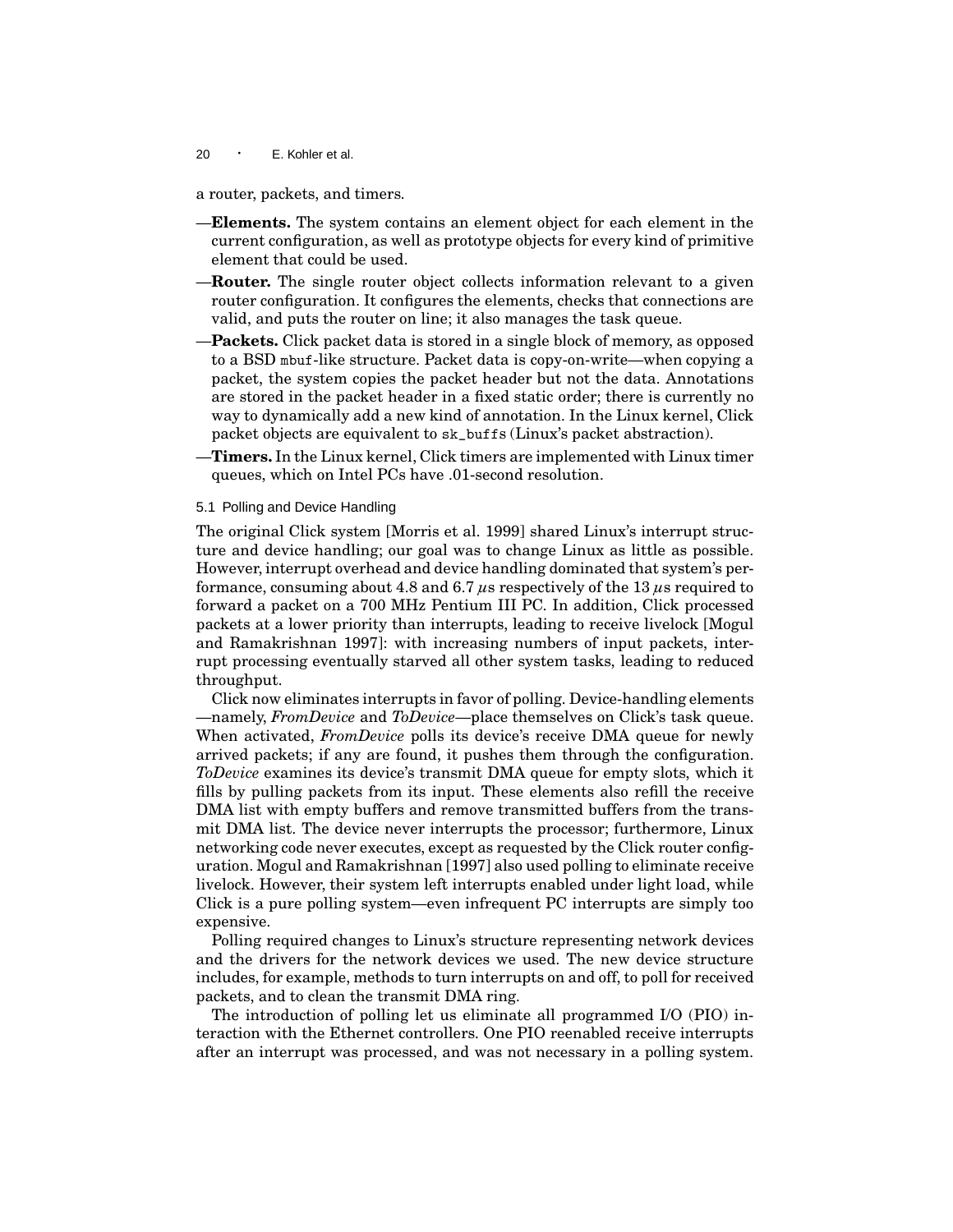a router, packets, and timers.

- —**Elements.** The system contains an element object for each element in the current configuration, as well as prototype objects for every kind of primitive element that could be used.
- —**Router.** The single router object collects information relevant to a given router configuration. It configures the elements, checks that connections are valid, and puts the router on line; it also manages the task queue.
- —**Packets.** Click packet data is stored in a single block of memory, as opposed to a BSD mbuf-like structure. Packet data is copy-on-write—when copying a packet, the system copies the packet header but not the data. Annotations are stored in the packet header in a fixed static order; there is currently no way to dynamically add a new kind of annotation. In the Linux kernel, Click packet objects are equivalent to sk\_buffs (Linux's packet abstraction).
- —**Timers.** In the Linux kernel, Click timers are implemented with Linux timer queues, which on Intel PCs have .01-second resolution.

5.1 Polling and Device Handling

The original Click system [Morris et al. 1999] shared Linux's interrupt structure and device handling; our goal was to change Linux as little as possible. However, interrupt overhead and device handling dominated that system's performance, consuming about 4.8 and 6.7 *µ*s respectively of the 13 *µ*s required to forward a packet on a 700 MHz Pentium III PC. In addition, Click processed packets at a lower priority than interrupts, leading to receive livelock [Mogul and Ramakrishnan 1997]: with increasing numbers of input packets, interrupt processing eventually starved all other system tasks, leading to reduced throughput.

Click now eliminates interrupts in favor of polling. Device-handling elements —namely, *FromDevice* and *ToDevice*—place themselves on Click's task queue. When activated, *FromDevice* polls its device's receive DMA queue for newly arrived packets; if any are found, it pushes them through the configuration. *ToDevice* examines its device's transmit DMA queue for empty slots, which it fills by pulling packets from its input. These elements also refill the receive DMA list with empty buffers and remove transmitted buffers from the transmit DMA list. The device never interrupts the processor; furthermore, Linux networking code never executes, except as requested by the Click router configuration. Mogul and Ramakrishnan [1997] also used polling to eliminate receive livelock. However, their system left interrupts enabled under light load, while Click is a pure polling system—even infrequent PC interrupts are simply too expensive.

Polling required changes to Linux's structure representing network devices and the drivers for the network devices we used. The new device structure includes, for example, methods to turn interrupts on and off, to poll for received packets, and to clean the transmit DMA ring.

The introduction of polling let us eliminate all programmed I/O (PIO) interaction with the Ethernet controllers. One PIO reenabled receive interrupts after an interrupt was processed, and was not necessary in a polling system.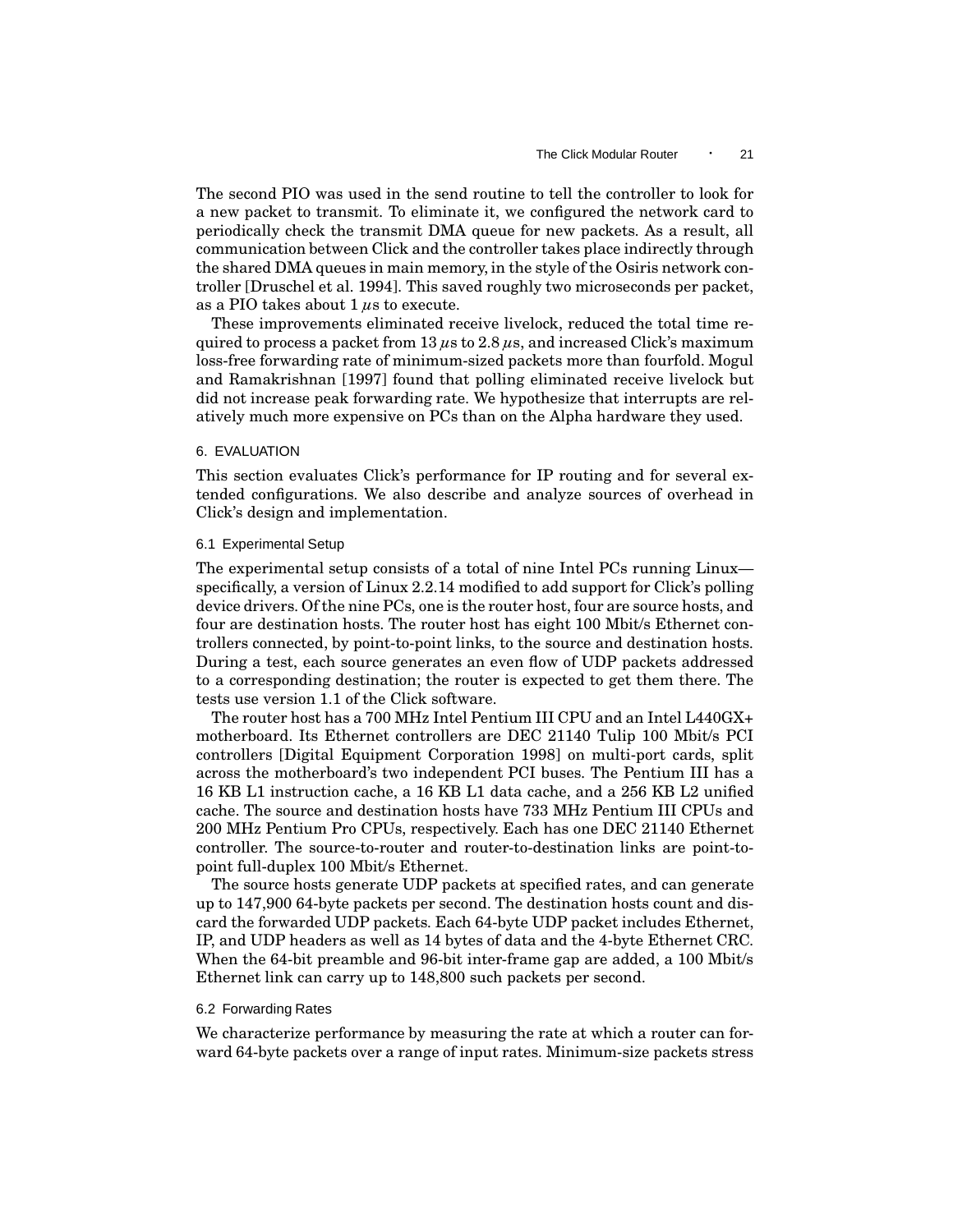The second PIO was used in the send routine to tell the controller to look for a new packet to transmit. To eliminate it, we configured the network card to periodically check the transmit DMA queue for new packets. As a result, all communication between Click and the controller takes place indirectly through the shared DMA queues in main memory, in the style of the Osiris network controller [Druschel et al. 1994]. This saved roughly two microseconds per packet, as a PIO takes about 1 *µ*s to execute.

These improvements eliminated receive livelock, reduced the total time required to process a packet from 13 *µ*s to 2.8 *µ*s, and increased Click's maximum loss-free forwarding rate of minimum-sized packets more than fourfold. Mogul and Ramakrishnan [1997] found that polling eliminated receive livelock but did not increase peak forwarding rate. We hypothesize that interrupts are relatively much more expensive on PCs than on the Alpha hardware they used.

# 6. EVALUATION

This section evaluates Click's performance for IP routing and for several extended configurations. We also describe and analyze sources of overhead in Click's design and implementation.

#### 6.1 Experimental Setup

The experimental setup consists of a total of nine Intel PCs running Linux specifically, a version of Linux 2.2.14 modified to add support for Click's polling device drivers. Of the nine PCs, one is the router host, four are source hosts, and four are destination hosts. The router host has eight 100 Mbit/s Ethernet controllers connected, by point-to-point links, to the source and destination hosts. During a test, each source generates an even flow of UDP packets addressed to a corresponding destination; the router is expected to get them there. The tests use version 1.1 of the Click software.

The router host has a 700 MHz Intel Pentium III CPU and an Intel L440GX+ motherboard. Its Ethernet controllers are DEC 21140 Tulip 100 Mbit/s PCI controllers [Digital Equipment Corporation 1998] on multi-port cards, split across the motherboard's two independent PCI buses. The Pentium III has a 16 KB L1 instruction cache, a 16 KB L1 data cache, and a 256 KB L2 unified cache. The source and destination hosts have 733 MHz Pentium III CPUs and 200 MHz Pentium Pro CPUs, respectively. Each has one DEC 21140 Ethernet controller. The source-to-router and router-to-destination links are point-topoint full-duplex 100 Mbit/s Ethernet.

The source hosts generate UDP packets at specified rates, and can generate up to 147,900 64-byte packets per second. The destination hosts count and discard the forwarded UDP packets. Each 64-byte UDP packet includes Ethernet, IP, and UDP headers as well as 14 bytes of data and the 4-byte Ethernet CRC. When the 64-bit preamble and 96-bit inter-frame gap are added, a 100 Mbit/s Ethernet link can carry up to 148,800 such packets per second.

#### 6.2 Forwarding Rates

We characterize performance by measuring the rate at which a router can forward 64-byte packets over a range of input rates. Minimum-size packets stress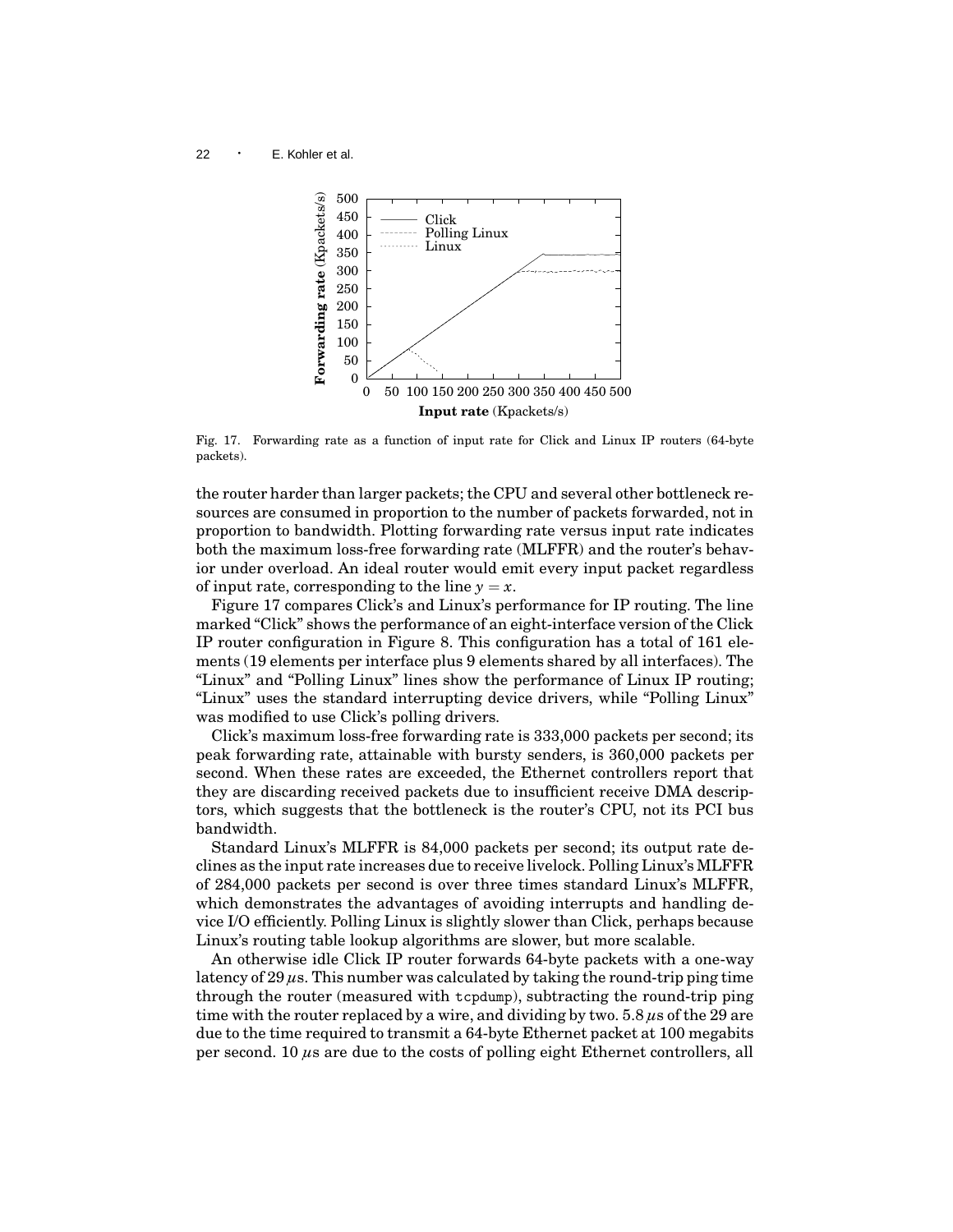22 · E. Kohler et al.



Fig. 17. Forwarding rate as a function of input rate for Click and Linux IP routers (64-byte packets).

the router harder than larger packets; the CPU and several other bottleneck resources are consumed in proportion to the number of packets forwarded, not in proportion to bandwidth. Plotting forwarding rate versus input rate indicates both the maximum loss-free forwarding rate (MLFFR) and the router's behavior under overload. An ideal router would emit every input packet regardless of input rate, corresponding to the line  $y = x$ .

Figure 17 compares Click's and Linux's performance for IP routing. The line marked "Click" shows the performance of an eight-interface version of the Click IP router configuration in Figure 8. This configuration has a total of 161 elements (19 elements per interface plus 9 elements shared by all interfaces). The "Linux" and "Polling Linux" lines show the performance of Linux IP routing; "Linux" uses the standard interrupting device drivers, while "Polling Linux" was modified to use Click's polling drivers.

Click's maximum loss-free forwarding rate is 333,000 packets per second; its peak forwarding rate, attainable with bursty senders, is 360,000 packets per second. When these rates are exceeded, the Ethernet controllers report that they are discarding received packets due to insufficient receive DMA descriptors, which suggests that the bottleneck is the router's CPU, not its PCI bus bandwidth.

Standard Linux's MLFFR is 84,000 packets per second; its output rate declines as the input rate increases due to receive livelock. Polling Linux's MLFFR of 284,000 packets per second is over three times standard Linux's MLFFR, which demonstrates the advantages of avoiding interrupts and handling device I/O efficiently. Polling Linux is slightly slower than Click, perhaps because Linux's routing table lookup algorithms are slower, but more scalable.

An otherwise idle Click IP router forwards 64-byte packets with a one-way latency of 29 *µ*s. This number was calculated by taking the round-trip ping time through the router (measured with tcpdump), subtracting the round-trip ping time with the router replaced by a wire, and dividing by two. 5.8 *µ*s of the 29 are due to the time required to transmit a 64-byte Ethernet packet at 100 megabits per second. 10 *µ*s are due to the costs of polling eight Ethernet controllers, all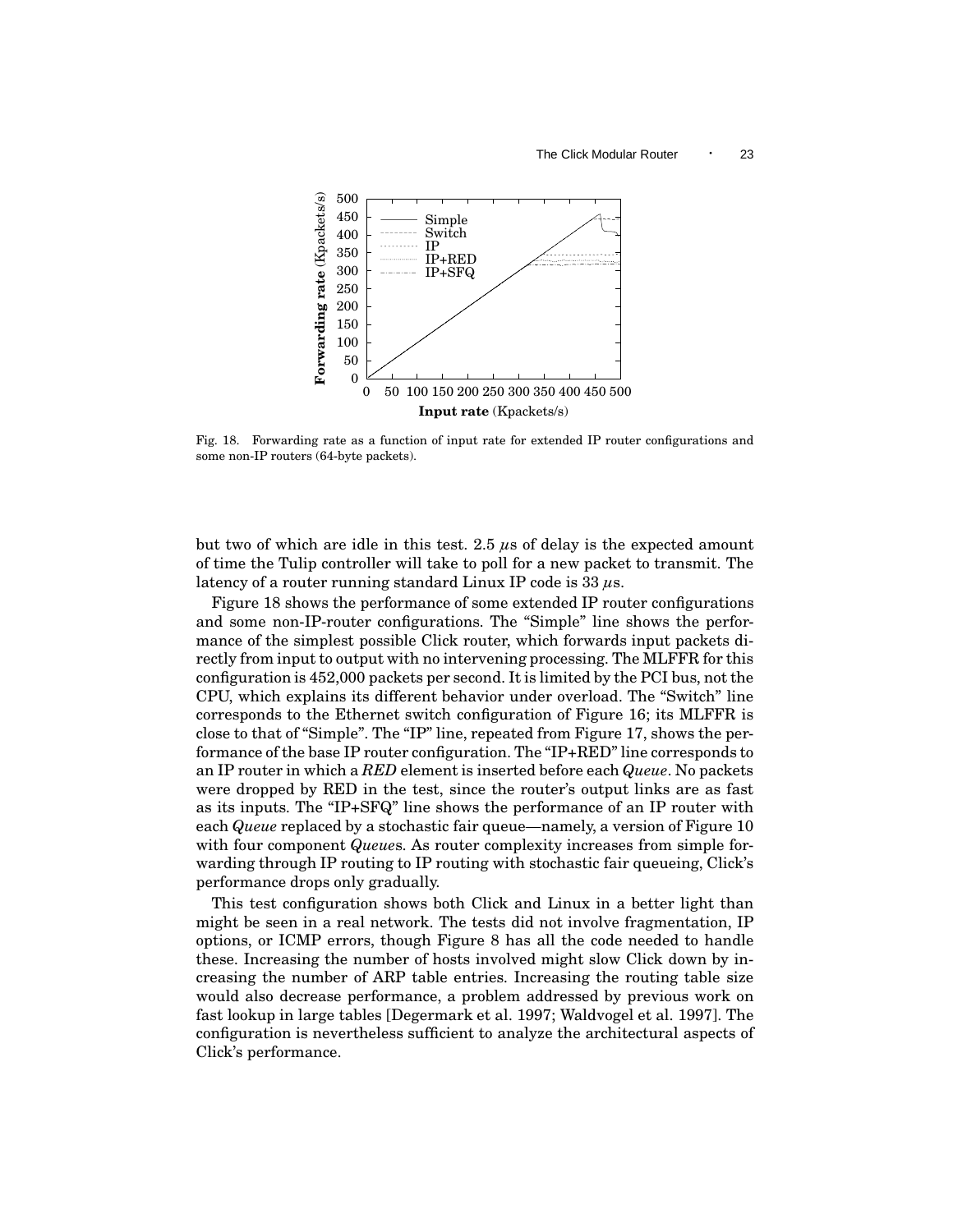

Fig. 18. Forwarding rate as a function of input rate for extended IP router configurations and some non-IP routers (64-byte packets).

but two of which are idle in this test. 2.5 *µ*s of delay is the expected amount of time the Tulip controller will take to poll for a new packet to transmit. The latency of a router running standard Linux IP code is 33 *µ*s.

Figure 18 shows the performance of some extended IP router configurations and some non-IP-router configurations. The "Simple" line shows the performance of the simplest possible Click router, which forwards input packets directly from input to output with no intervening processing. The MLFFR for this configuration is 452,000 packets per second. It is limited by the PCI bus, not the CPU, which explains its different behavior under overload. The "Switch" line corresponds to the Ethernet switch configuration of Figure 16; its MLFFR is close to that of "Simple". The "IP" line, repeated from Figure 17, shows the performance of the base IP router configuration. The "IP+RED" line corresponds to an IP router in which a *RED* element is inserted before each *Queue*. No packets were dropped by RED in the test, since the router's output links are as fast as its inputs. The "IP+SFQ" line shows the performance of an IP router with each *Queue* replaced by a stochastic fair queue—namely, a version of Figure 10 with four component *Queues*. As router complexity increases from simple forwarding through IP routing to IP routing with stochastic fair queueing, Click's performance drops only gradually.

This test configuration shows both Click and Linux in a better light than might be seen in a real network. The tests did not involve fragmentation, IP options, or ICMP errors, though Figure 8 has all the code needed to handle these. Increasing the number of hosts involved might slow Click down by increasing the number of ARP table entries. Increasing the routing table size would also decrease performance, a problem addressed by previous work on fast lookup in large tables [Degermark et al. 1997; Waldvogel et al. 1997]. The configuration is nevertheless sufficient to analyze the architectural aspects of Click's performance.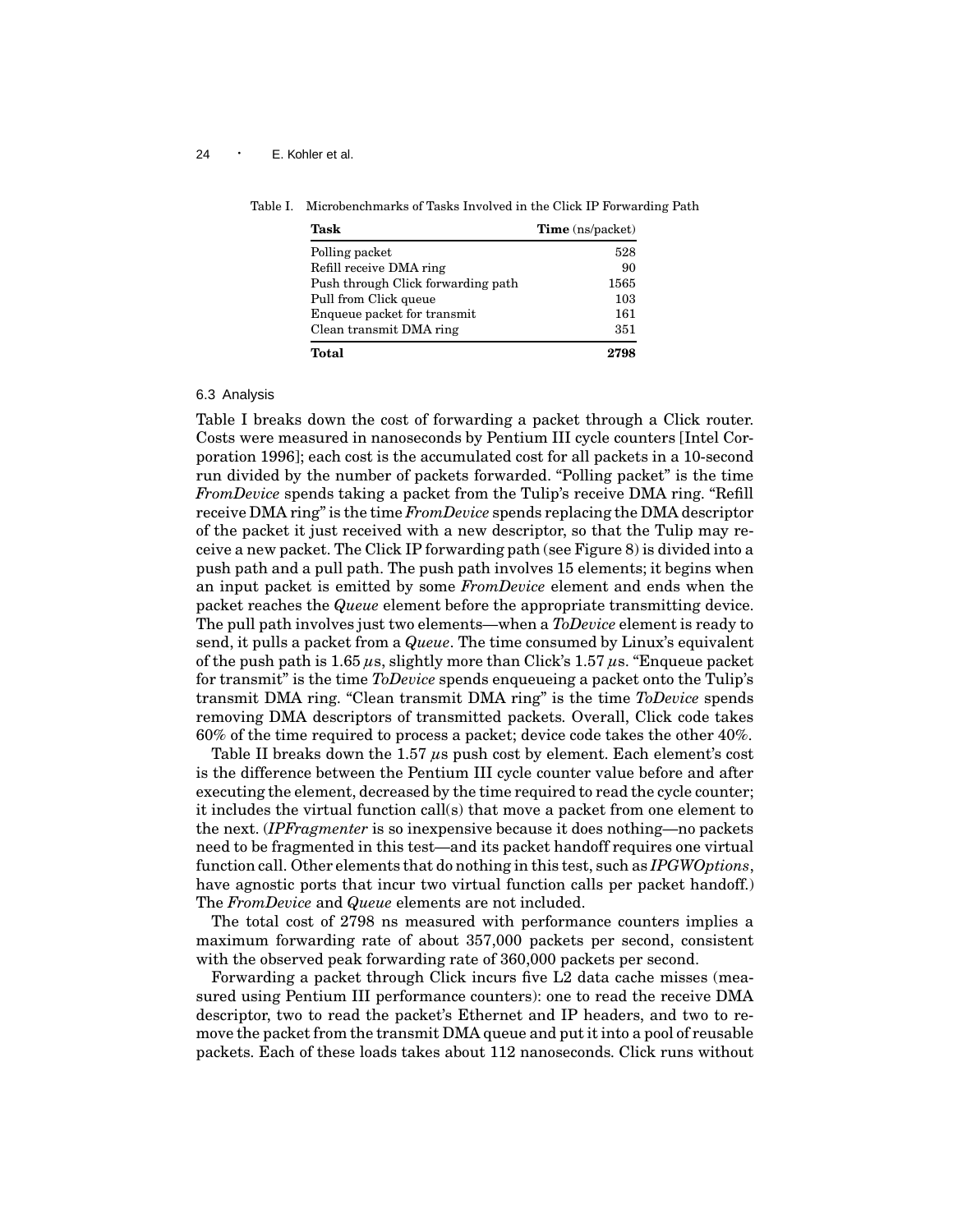| Task                               | <b>Time</b> (ns/packet) |
|------------------------------------|-------------------------|
| Polling packet                     | 528                     |
| Refill receive DMA ring            | 90                      |
| Push through Click forwarding path | 1565                    |
| Pull from Click queue              | 103                     |
| Enqueue packet for transmit        | 161                     |
| Clean transmit DMA ring            | 351                     |
| <b>Total</b>                       |                         |

Table I. Microbenchmarks of Tasks Involved in the Click IP Forwarding Path

# 6.3 Analysis

Table I breaks down the cost of forwarding a packet through a Click router. Costs were measured in nanoseconds by Pentium III cycle counters [Intel Corporation 1996]; each cost is the accumulated cost for all packets in a 10-second run divided by the number of packets forwarded. "Polling packet" is the time *FromDevice* spends taking a packet from the Tulip's receive DMA ring. "Refill receive DMA ring" is the time *FromDevice* spends replacing the DMA descriptor of the packet it just received with a new descriptor, so that the Tulip may receive a new packet. The Click IP forwarding path (see Figure 8) is divided into a push path and a pull path. The push path involves 15 elements; it begins when an input packet is emitted by some *FromDevice* element and ends when the packet reaches the *Queue* element before the appropriate transmitting device. The pull path involves just two elements—when a *ToDevice* element is ready to send, it pulls a packet from a *Queue*. The time consumed by Linux's equivalent of the push path is 1.65 *µ*s, slightly more than Click's 1.57 *µ*s. "Enqueue packet for transmit" is the time *ToDevice* spends enqueueing a packet onto the Tulip's transmit DMA ring. "Clean transmit DMA ring" is the time *ToDevice* spends removing DMA descriptors of transmitted packets. Overall, Click code takes 60% of the time required to process a packet; device code takes the other 40%.

Table II breaks down the 1.57 *µs* push cost by element. Each element's cost is the difference between the Pentium III cycle counter value before and after executing the element, decreased by the time required to read the cycle counter; it includes the virtual function call(s) that move a packet from one element to the next. (*IPFragmenter* is so inexpensive because it does nothing—no packets need to be fragmented in this test—and its packet handoff requires one virtual function call. Other elements that do nothing in this test, such as *IPGWOptions*, have agnostic ports that incur two virtual function calls per packet handoff.) The *FromDevice* and *Queue* elements are not included.

The total cost of 2798 ns measured with performance counters implies a maximum forwarding rate of about 357,000 packets per second, consistent with the observed peak forwarding rate of 360,000 packets per second.

Forwarding a packet through Click incurs five L2 data cache misses (measured using Pentium III performance counters): one to read the receive DMA descriptor, two to read the packet's Ethernet and IP headers, and two to remove the packet from the transmit DMA queue and put it into a pool of reusable packets. Each of these loads takes about 112 nanoseconds. Click runs without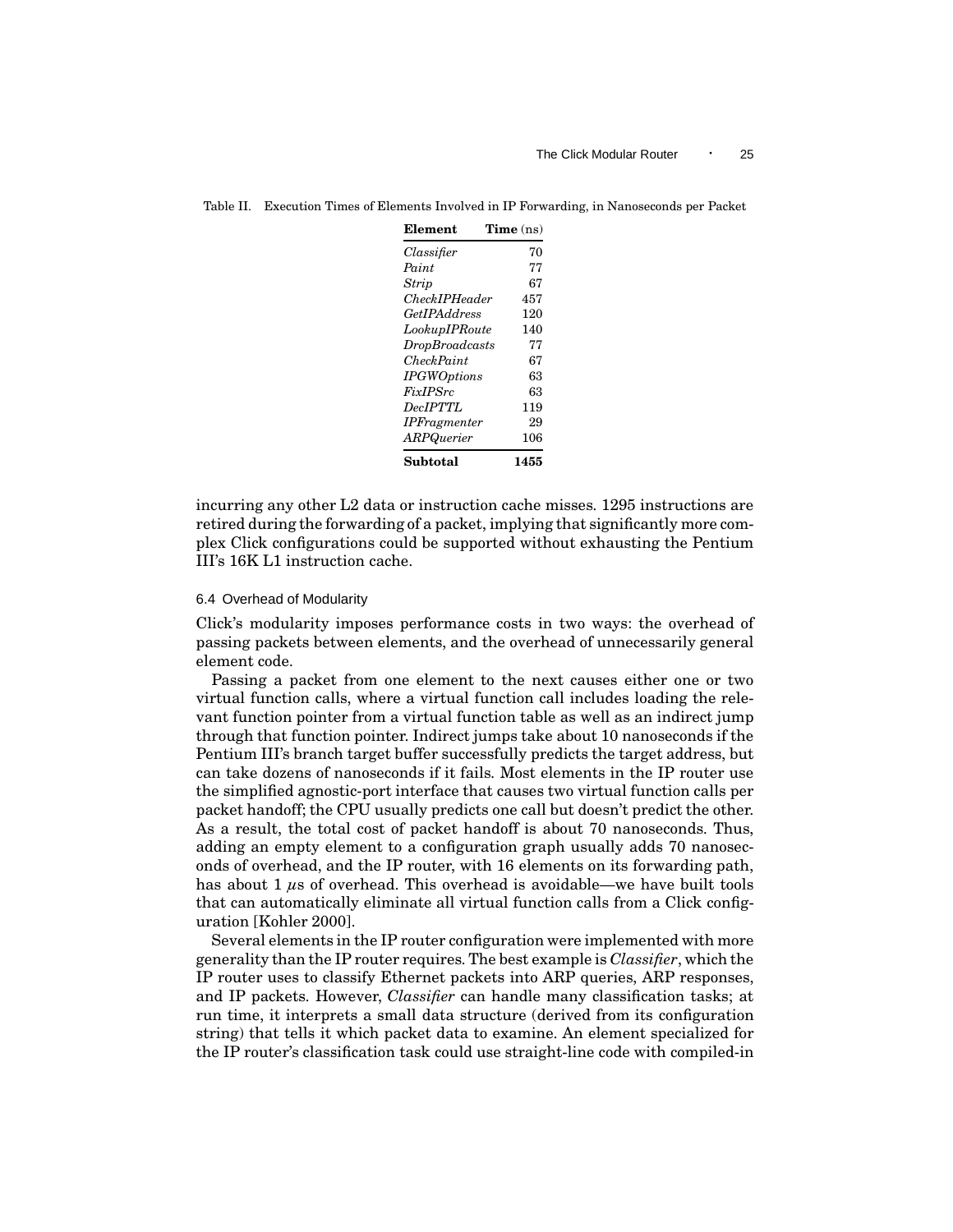| Element               | Time (ns) |
|-----------------------|-----------|
| Classifier            | 70        |
| Paint                 | 77        |
| Strip                 | 67        |
| <b>CheckIPHeader</b>  | 457       |
| <i>GetIPAddress</i>   | 120       |
| LookupIPRoute         | 140       |
| <i>DropBroadcasts</i> | 77        |
| CheckPaint            | 67        |
| <b>IPGWOptions</b>    | 63        |
| FixIPSrc              | 63        |
| <b>DecIPTTL</b>       | 119       |
| <b>IPFragmenter</b>   | 29        |
| <b>ARPQuerier</b>     | 106       |
| Subtotal              | 1455      |

Table II. Execution Times of Elements Involved in IP Forwarding, in Nanoseconds per Packet

incurring any other L2 data or instruction cache misses. 1295 instructions are retired during the forwarding of a packet, implying that significantly more complex Click configurations could be supported without exhausting the Pentium III's 16K L1 instruction cache.

# 6.4 Overhead of Modularity

Click's modularity imposes performance costs in two ways: the overhead of passing packets between elements, and the overhead of unnecessarily general element code.

Passing a packet from one element to the next causes either one or two virtual function calls, where a virtual function call includes loading the relevant function pointer from a virtual function table as well as an indirect jump through that function pointer. Indirect jumps take about 10 nanoseconds if the Pentium III's branch target buffer successfully predicts the target address, but can take dozens of nanoseconds if it fails. Most elements in the IP router use the simplified agnostic-port interface that causes two virtual function calls per packet handoff; the CPU usually predicts one call but doesn't predict the other. As a result, the total cost of packet handoff is about 70 nanoseconds. Thus, adding an empty element to a configuration graph usually adds 70 nanoseconds of overhead, and the IP router, with 16 elements on its forwarding path, has about 1  $\mu$ s of overhead. This overhead is avoidable—we have built tools that can automatically eliminate all virtual function calls from a Click configuration [Kohler 2000].

Several elements in the IP router configuration were implemented with more generality than the IP router requires. The best example is *Classifier*, which the IP router uses to classify Ethernet packets into ARP queries, ARP responses, and IP packets. However, *Classifier* can handle many classification tasks; at run time, it interprets a small data structure (derived from its configuration string) that tells it which packet data to examine. An element specialized for the IP router's classification task could use straight-line code with compiled-in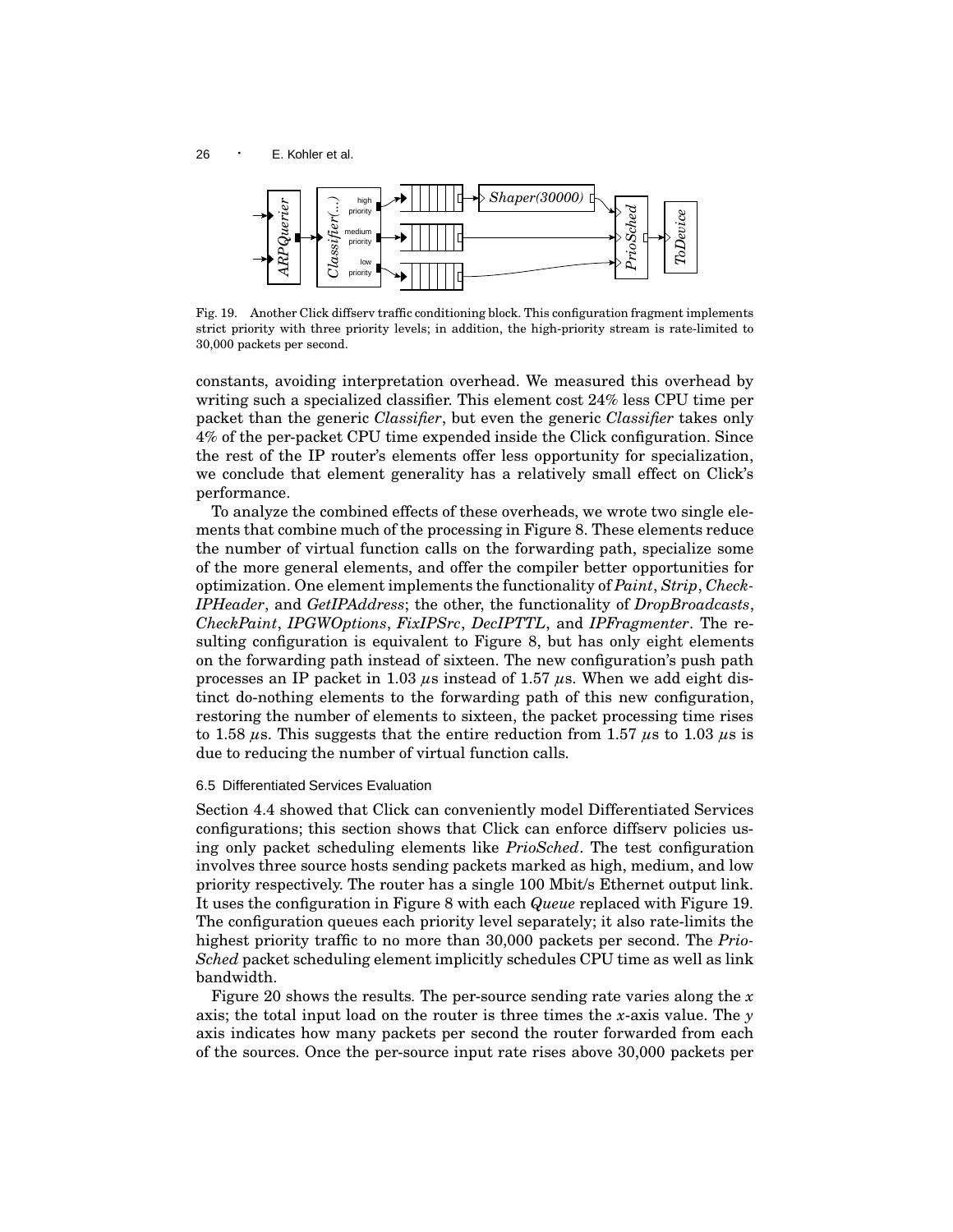<sup>26</sup> · E. Kohler et al.



Fig. 19. Another Click diffserv traffic conditioning block. This configuration fragment implements strict priority with three priority levels; in addition, the high-priority stream is rate-limited to 30,000 packets per second.

constants, avoiding interpretation overhead. We measured this overhead by writing such a specialized classifier. This element cost 24% less CPU time per packet than the generic *Classifier*, but even the generic *Classifier* takes only 4% of the per-packet CPU time expended inside the Click configuration. Since the rest of the IP router's elements offer less opportunity for specialization, we conclude that element generality has a relatively small effect on Click's performance.

To analyze the combined effects of these overheads, we wrote two single elements that combine much of the processing in Figure 8. These elements reduce the number of virtual function calls on the forwarding path, specialize some of the more general elements, and offer the compiler better opportunities for optimization. One element implements the functionality of *Paint*, *Strip*, *Check-IPHeader*, and *GetIPAddress*; the other, the functionality of *DropBroadcasts*, *CheckPaint*, *IPGWOptions*, *FixIPSrc*, *DecIPTTL*, and *IPFragmenter*. The resulting configuration is equivalent to Figure 8, but has only eight elements on the forwarding path instead of sixteen. The new configuration's push path processes an IP packet in 1.03 *µ*s instead of 1.57 *µ*s. When we add eight distinct do-nothing elements to the forwarding path of this new configuration, restoring the number of elements to sixteen, the packet processing time rises to 1.58  $\mu$ s. This suggests that the entire reduction from 1.57  $\mu$ s to 1.03  $\mu$ s is due to reducing the number of virtual function calls.

# 6.5 Differentiated Services Evaluation

Section 4.4 showed that Click can conveniently model Differentiated Services configurations; this section shows that Click can enforce diffserv policies using only packet scheduling elements like *PrioSched*. The test configuration involves three source hosts sending packets marked as high, medium, and low priority respectively. The router has a single 100 Mbit/s Ethernet output link. It uses the configuration in Figure 8 with each *Queue* replaced with Figure 19. The configuration queues each priority level separately; it also rate-limits the highest priority traffic to no more than 30,000 packets per second. The *Prio-Sched* packet scheduling element implicitly schedules CPU time as well as link bandwidth.

Figure 20 shows the results. The per-source sending rate varies along the *x* axis; the total input load on the router is three times the *x*-axis value. The *y* axis indicates how many packets per second the router forwarded from each of the sources. Once the per-source input rate rises above 30,000 packets per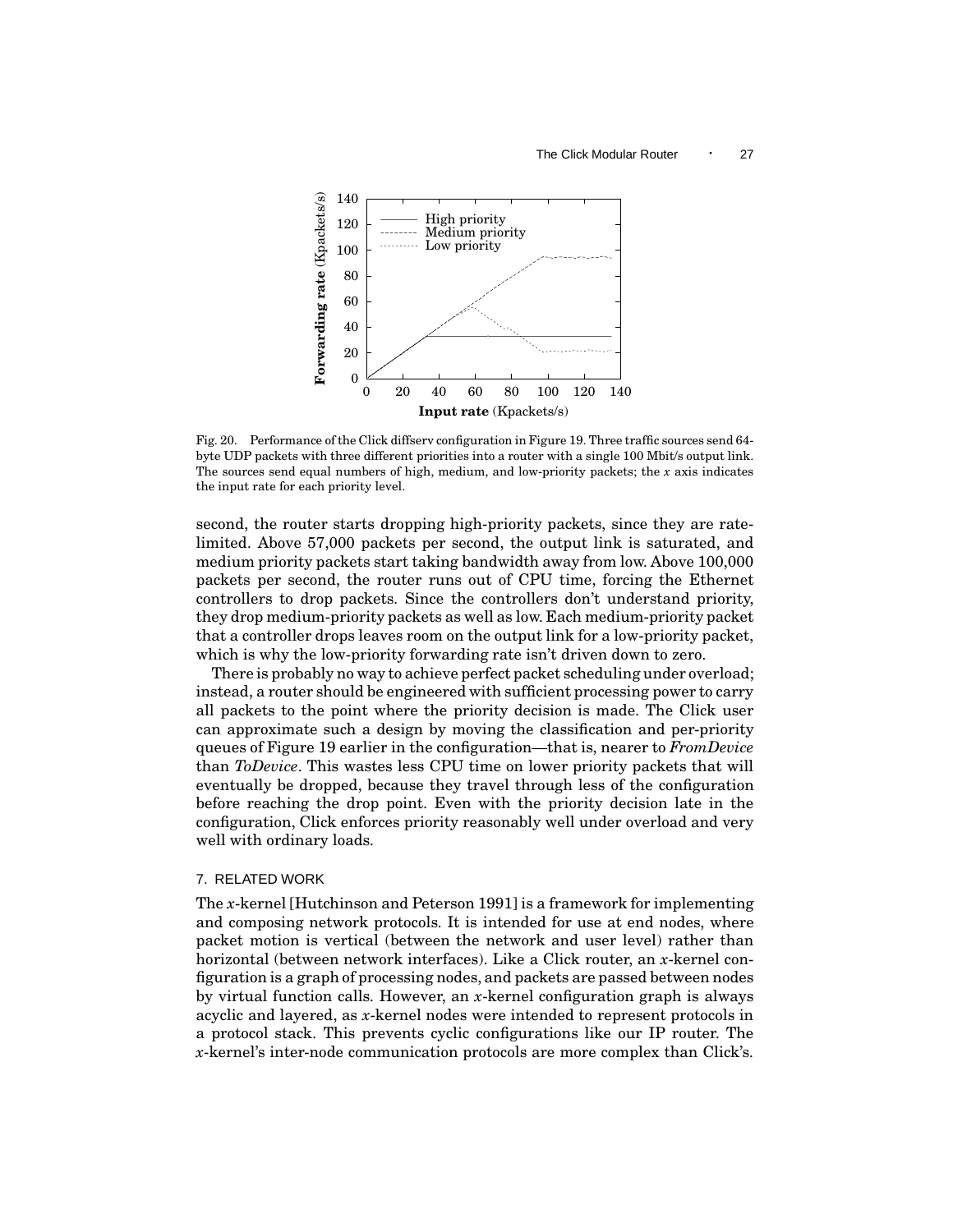

Fig. 20. Performance of the Click diffserv configuration in Figure 19. Three traffic sources send 64 byte UDP packets with three different priorities into a router with a single 100 Mbit/s output link. The sources send equal numbers of high, medium, and low-priority packets; the *x* axis indicates the input rate for each priority level.

second, the router starts dropping high-priority packets, since they are ratelimited. Above 57,000 packets per second, the output link is saturated, and medium priority packets start taking bandwidth away from low. Above 100,000 packets per second, the router runs out of CPU time, forcing the Ethernet controllers to drop packets. Since the controllers don't understand priority, they drop medium-priority packets as well as low. Each medium-priority packet that a controller drops leaves room on the output link for a low-priority packet, which is why the low-priority forwarding rate isn't driven down to zero.

There is probably no way to achieve perfect packet scheduling under overload; instead, a router should be engineered with sufficient processing power to carry all packets to the point where the priority decision is made. The Click user can approximate such a design by moving the classification and per-priority queues of Figure 19 earlier in the configuration—that is, nearer to *FromDevice* than *ToDevice*. This wastes less CPU time on lower priority packets that will eventually be dropped, because they travel through less of the configuration before reaching the drop point. Even with the priority decision late in the configuration, Click enforces priority reasonably well under overload and very well with ordinary loads.

# 7. RELATED WORK

The *x*-kernel [Hutchinson and Peterson 1991] is a framework for implementing and composing network protocols. It is intended for use at end nodes, where packet motion is vertical (between the network and user level) rather than horizontal (between network interfaces). Like a Click router, an *x*-kernel configuration is a graph of processing nodes, and packets are passed between nodes by virtual function calls. However, an *x*-kernel configuration graph is always acyclic and layered, as *x*-kernel nodes were intended to represent protocols in a protocol stack. This prevents cyclic configurations like our IP router. The *x*-kernel's inter-node communication protocols are more complex than Click's.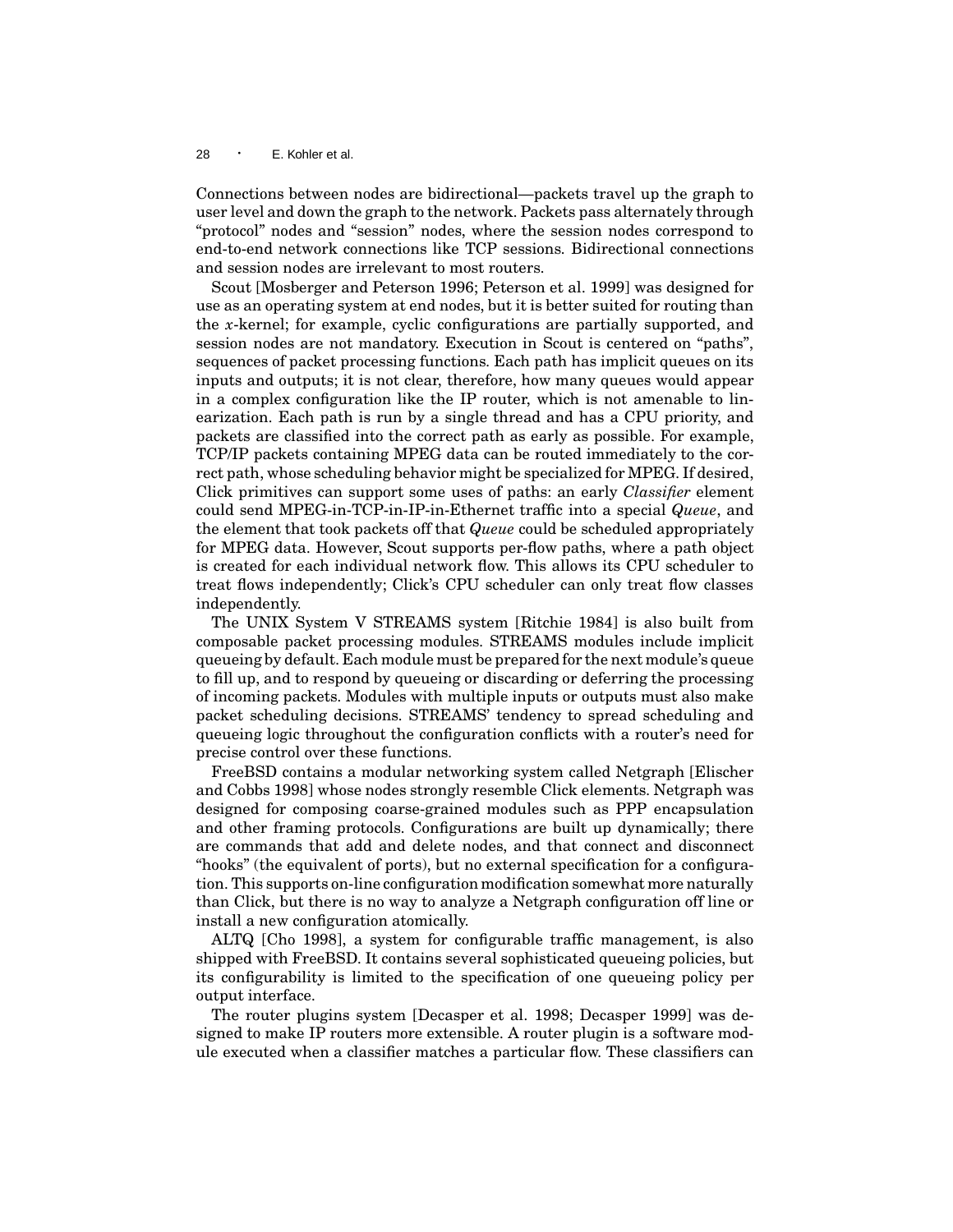Connections between nodes are bidirectional—packets travel up the graph to user level and down the graph to the network. Packets pass alternately through "protocol" nodes and "session" nodes, where the session nodes correspond to end-to-end network connections like TCP sessions. Bidirectional connections and session nodes are irrelevant to most routers.

Scout [Mosberger and Peterson 1996; Peterson et al. 1999] was designed for use as an operating system at end nodes, but it is better suited for routing than the *x*-kernel; for example, cyclic configurations are partially supported, and session nodes are not mandatory. Execution in Scout is centered on "paths", sequences of packet processing functions. Each path has implicit queues on its inputs and outputs; it is not clear, therefore, how many queues would appear in a complex configuration like the IP router, which is not amenable to linearization. Each path is run by a single thread and has a CPU priority, and packets are classified into the correct path as early as possible. For example, TCP/IP packets containing MPEG data can be routed immediately to the correct path, whose scheduling behavior might be specialized for MPEG. If desired, Click primitives can support some uses of paths: an early *Classifier* element could send MPEG-in-TCP-in-IP-in-Ethernet traffic into a special *Queue*, and the element that took packets off that *Queue* could be scheduled appropriately for MPEG data. However, Scout supports per-flow paths, where a path object is created for each individual network flow. This allows its CPU scheduler to treat flows independently; Click's CPU scheduler can only treat flow classes independently.

The UNIX System V STREAMS system [Ritchie 1984] is also built from composable packet processing modules. STREAMS modules include implicit queueing by default. Each module must be prepared for the next module's queue to fill up, and to respond by queueing or discarding or deferring the processing of incoming packets. Modules with multiple inputs or outputs must also make packet scheduling decisions. STREAMS' tendency to spread scheduling and queueing logic throughout the configuration conflicts with a router's need for precise control over these functions.

FreeBSD contains a modular networking system called Netgraph [Elischer and Cobbs 1998] whose nodes strongly resemble Click elements. Netgraph was designed for composing coarse-grained modules such as PPP encapsulation and other framing protocols. Configurations are built up dynamically; there are commands that add and delete nodes, and that connect and disconnect "hooks" (the equivalent of ports), but no external specification for a configuration. This supports on-line configuration modification somewhat more naturally than Click, but there is no way to analyze a Netgraph configuration off line or install a new configuration atomically.

ALTQ [Cho 1998], a system for configurable traffic management, is also shipped with FreeBSD. It contains several sophisticated queueing policies, but its configurability is limited to the specification of one queueing policy per output interface.

The router plugins system [Decasper et al. 1998; Decasper 1999] was designed to make IP routers more extensible. A router plugin is a software module executed when a classifier matches a particular flow. These classifiers can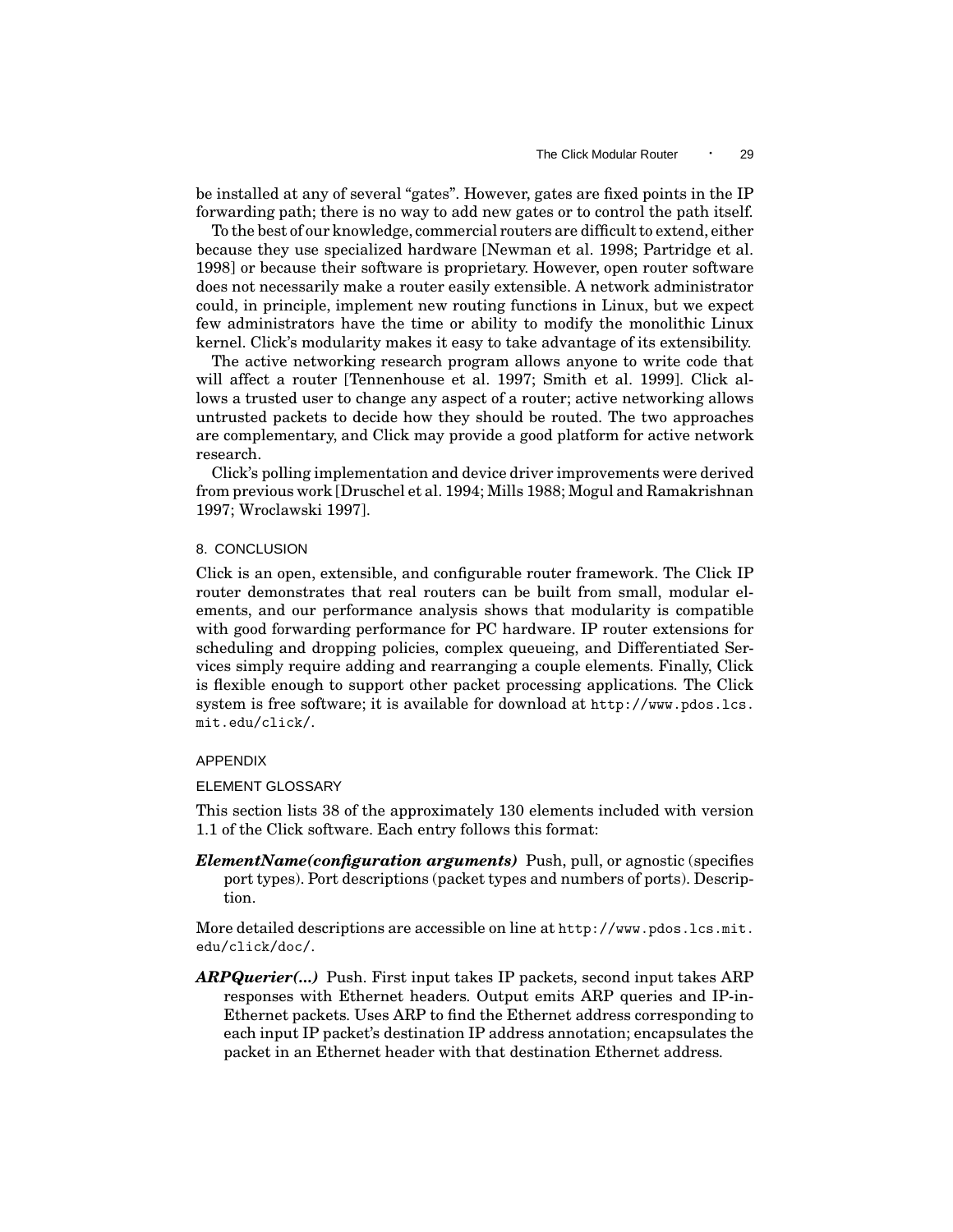be installed at any of several "gates". However, gates are fixed points in the IP forwarding path; there is no way to add new gates or to control the path itself.

To the best of our knowledge, commercial routers are difficult to extend, either because they use specialized hardware [Newman et al. 1998; Partridge et al. 1998] or because their software is proprietary. However, open router software does not necessarily make a router easily extensible. A network administrator could, in principle, implement new routing functions in Linux, but we expect few administrators have the time or ability to modify the monolithic Linux kernel. Click's modularity makes it easy to take advantage of its extensibility.

The active networking research program allows anyone to write code that will affect a router [Tennenhouse et al. 1997; Smith et al. 1999]. Click allows a trusted user to change any aspect of a router; active networking allows untrusted packets to decide how they should be routed. The two approaches are complementary, and Click may provide a good platform for active network research.

Click's polling implementation and device driver improvements were derived from previous work [Druschel et al. 1994; Mills 1988; Mogul and Ramakrishnan 1997; Wroclawski 1997].

# 8. CONCLUSION

Click is an open, extensible, and configurable router framework. The Click IP router demonstrates that real routers can be built from small, modular elements, and our performance analysis shows that modularity is compatible with good forwarding performance for PC hardware. IP router extensions for scheduling and dropping policies, complex queueing, and Differentiated Services simply require adding and rearranging a couple elements. Finally, Click is flexible enough to support other packet processing applications. The Click system is free software; it is available for download at http://www.pdos.lcs. mit.edu/click/.

# APPENDIX

#### ELEMENT GLOSSARY

This section lists 38 of the approximately 130 elements included with version 1.1 of the Click software. Each entry follows this format:

*ElementName(configuration arguments)* Push, pull, or agnostic (specifies port types). Port descriptions (packet types and numbers of ports). Description.

More detailed descriptions are accessible on line at http://www.pdos.lcs.mit. edu/click/doc/.

*ARPQuerier(...)* Push. First input takes IP packets, second input takes ARP responses with Ethernet headers. Output emits ARP queries and IP-in-Ethernet packets. Uses ARP to find the Ethernet address corresponding to each input IP packet's destination IP address annotation; encapsulates the packet in an Ethernet header with that destination Ethernet address.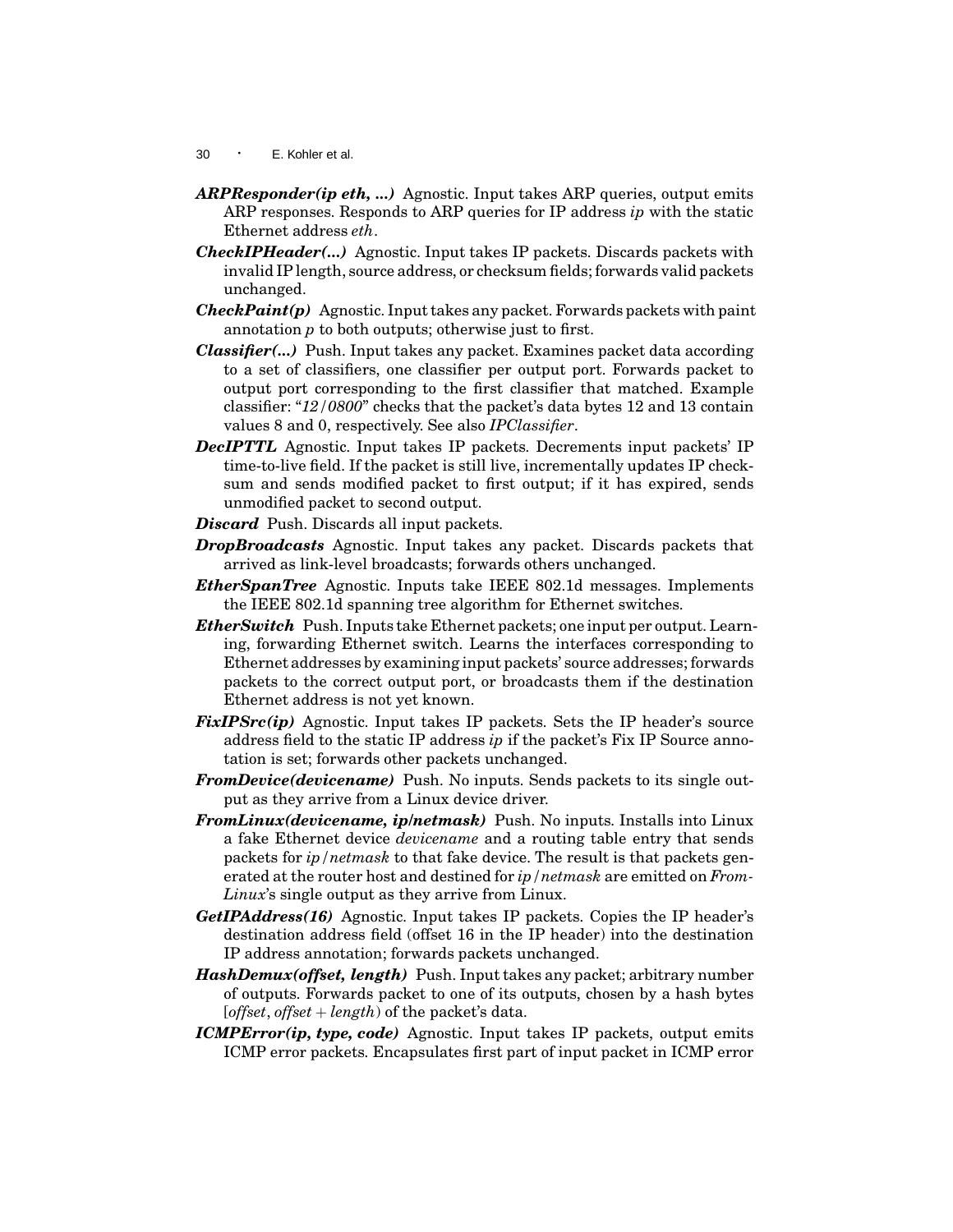- *ARPResponder(ip eth, ...)* Agnostic. Input takes ARP queries, output emits ARP responses. Responds to ARP queries for IP address *ip* with the static Ethernet address *eth*.
- *CheckIPHeader(...)* Agnostic. Input takes IP packets. Discards packets with invalid IP length, source address, or checksum fields; forwards valid packets unchanged.
- *CheckPaint(p)* Agnostic. Input takes any packet. Forwards packets with paint annotation *p* to both outputs; otherwise just to first.
- *Classifier(...)* Push. Input takes any packet. Examines packet data according to a set of classifiers, one classifier per output port. Forwards packet to output port corresponding to the first classifier that matched. Example classifier: "*12/0800*" checks that the packet's data bytes 12 and 13 contain values 8 and 0, respectively. See also *IPClassifier*.
- *DecIPTTL* Agnostic. Input takes IP packets. Decrements input packets' IP time-to-live field. If the packet is still live, incrementally updates IP checksum and sends modified packet to first output; if it has expired, sends unmodified packet to second output.
- *Discard* Push. Discards all input packets.
- *DropBroadcasts* Agnostic. Input takes any packet. Discards packets that arrived as link-level broadcasts; forwards others unchanged.
- *EtherSpanTree* Agnostic. Inputs take IEEE 802.1d messages. Implements the IEEE 802.1d spanning tree algorithm for Ethernet switches.
- *EtherSwitch* Push. Inputs take Ethernet packets; one input per output. Learning, forwarding Ethernet switch. Learns the interfaces corresponding to Ethernet addresses by examining input packets' source addresses; forwards packets to the correct output port, or broadcasts them if the destination Ethernet address is not yet known.
- *FixIPSrc(ip)* Agnostic. Input takes IP packets. Sets the IP header's source address field to the static IP address *ip* if the packet's Fix IP Source annotation is set; forwards other packets unchanged.
- *FromDevice(devicename)* Push. No inputs. Sends packets to its single output as they arrive from a Linux device driver.
- *FromLinux(devicename, ip/netmask)* Push. No inputs. Installs into Linux a fake Ethernet device *devicename* and a routing table entry that sends packets for *ip/netmask* to that fake device. The result is that packets generated at the router host and destined for *ip/netmask* are emitted on *From-Linux*'s single output as they arrive from Linux.
- *GetIPAddress(16)* Agnostic. Input takes IP packets. Copies the IP header's destination address field (offset 16 in the IP header) into the destination IP address annotation; forwards packets unchanged.
- *HashDemux(offset, length)* Push. Input takes any packet; arbitrary number of outputs. Forwards packet to one of its outputs, chosen by a hash bytes  $[offset, offset + length)$  of the packet's data.
- *ICMPError(ip, type, code)* Agnostic. Input takes IP packets, output emits ICMP error packets. Encapsulates first part of input packet in ICMP error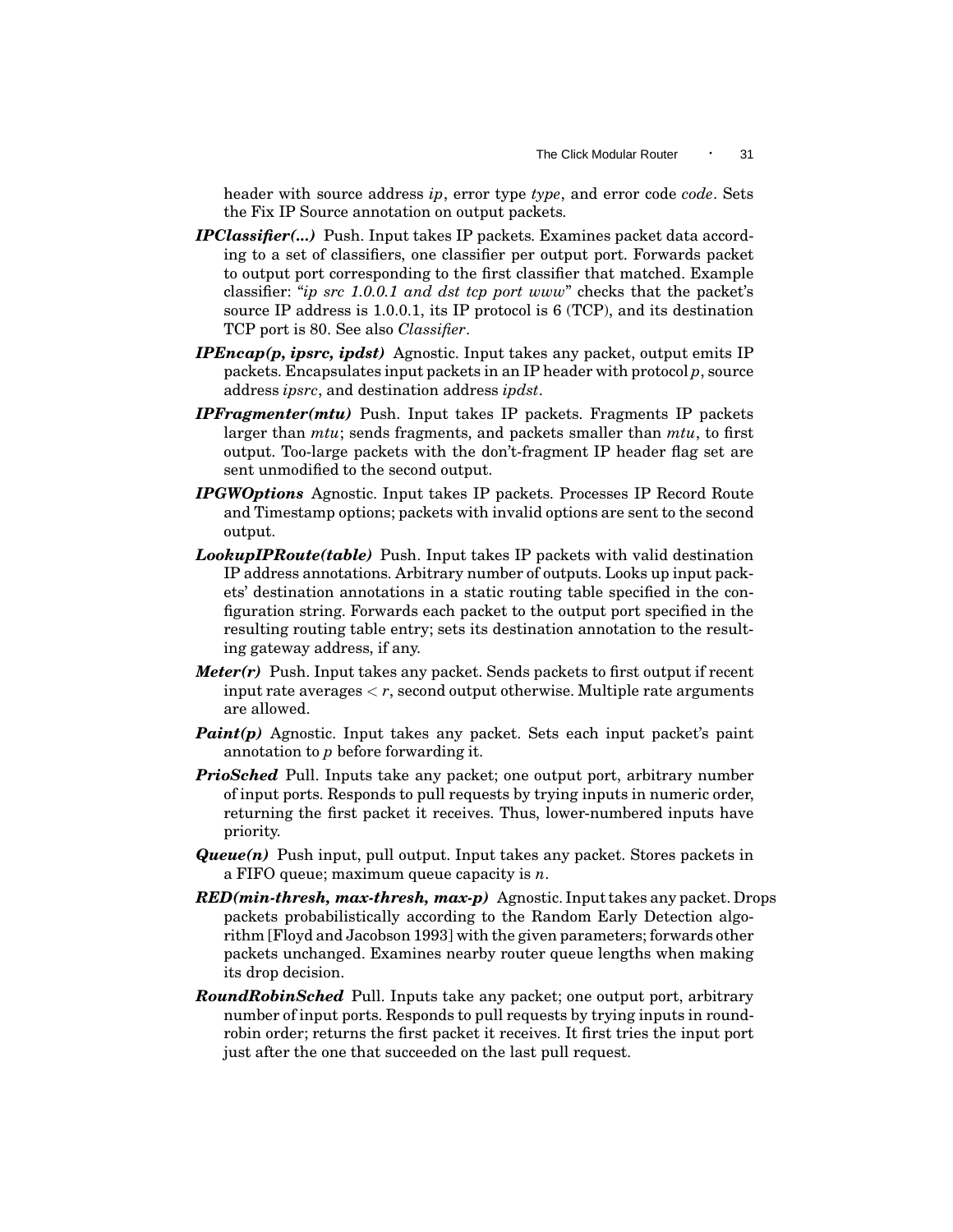header with source address *ip*, error type *type*, and error code *code*. Sets the Fix IP Source annotation on output packets.

- *IPClassifier(...)* Push. Input takes IP packets. Examines packet data according to a set of classifiers, one classifier per output port. Forwards packet to output port corresponding to the first classifier that matched. Example classifier: "*ip src 1.0.0.1 and dst tcp port www*" checks that the packet's source IP address is 1.0.0.1, its IP protocol is 6 (TCP), and its destination TCP port is 80. See also *Classifier*.
- *IPEncap(p, ipsrc, ipdst)* Agnostic. Input takes any packet, output emits IP packets. Encapsulates input packets in an IP header with protocol *p*, source address *ipsrc*, and destination address *ipdst*.
- *IPFragmenter(mtu)* Push. Input takes IP packets. Fragments IP packets larger than *mtu*; sends fragments, and packets smaller than *mtu*, to first output. Too-large packets with the don't-fragment IP header flag set are sent unmodified to the second output.
- *IPGWOptions* Agnostic. Input takes IP packets. Processes IP Record Route and Timestamp options; packets with invalid options are sent to the second output.
- *LookupIPRoute(table)* Push. Input takes IP packets with valid destination IP address annotations. Arbitrary number of outputs. Looks up input packets' destination annotations in a static routing table specified in the configuration string. Forwards each packet to the output port specified in the resulting routing table entry; sets its destination annotation to the resulting gateway address, if any.
- *Meter(r)* Push. Input takes any packet. Sends packets to first output if recent input rate averages  $\lt r$ , second output otherwise. Multiple rate arguments are allowed.
- *Paint(p)* Agnostic. Input takes any packet. Sets each input packet's paint annotation to *p* before forwarding it.
- *PrioSched* Pull. Inputs take any packet; one output port, arbitrary number of input ports. Responds to pull requests by trying inputs in numeric order, returning the first packet it receives. Thus, lower-numbered inputs have priority.
- *Queue(n)* Push input, pull output. Input takes any packet. Stores packets in a FIFO queue; maximum queue capacity is *n*.
- *RED(min-thresh, max-thresh, max-p)* Agnostic. Inputtakes any packet. Drops packets probabilistically according to the Random Early Detection algorithm [Floyd and Jacobson 1993] with the given parameters; forwards other packets unchanged. Examines nearby router queue lengths when making its drop decision.
- *RoundRobinSched* Pull. Inputs take any packet; one output port, arbitrary number of input ports. Responds to pull requests by trying inputs in roundrobin order; returns the first packet it receives. It first tries the input port just after the one that succeeded on the last pull request.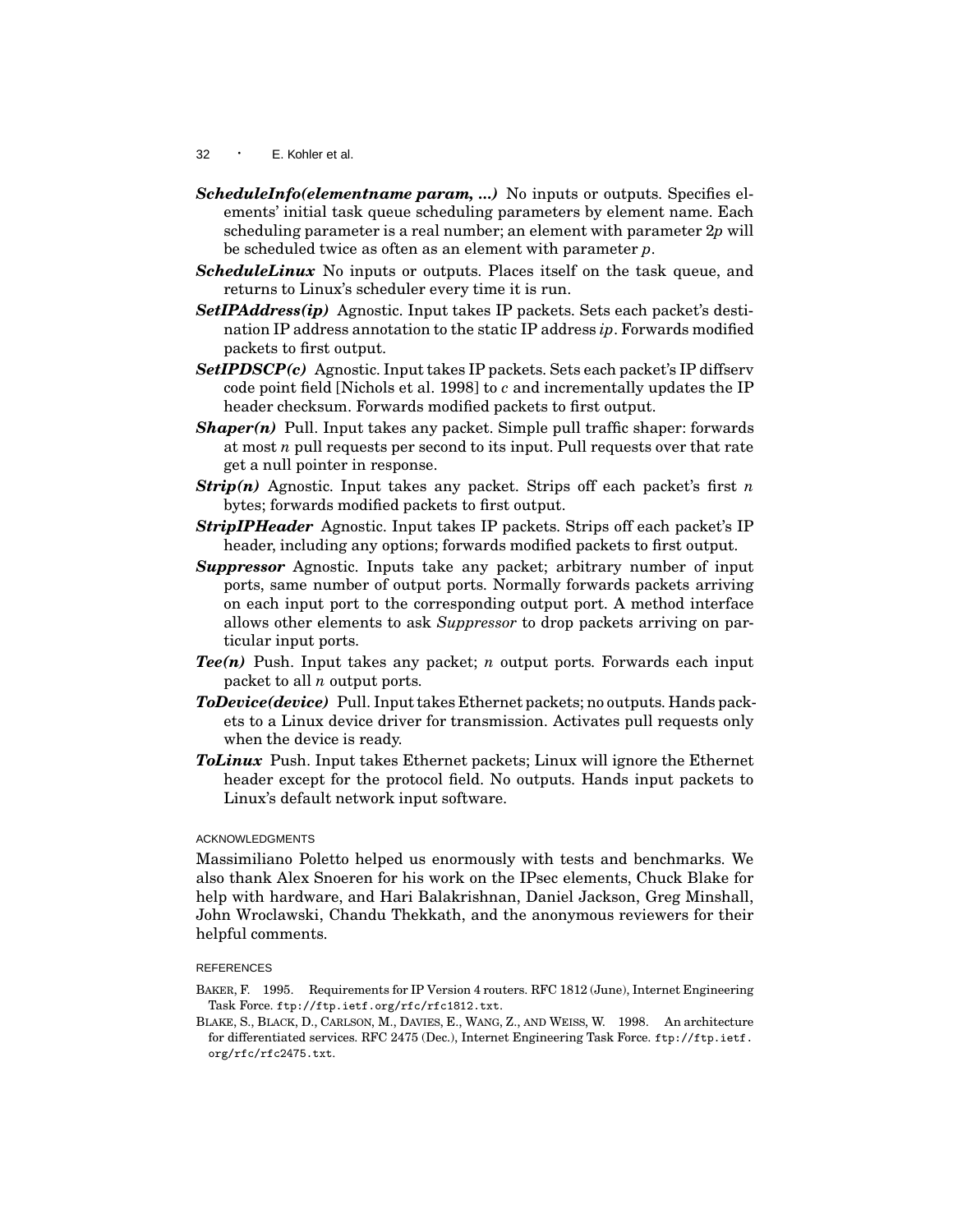- *ScheduleInfo(elementname param, ...)* No inputs or outputs. Specifies elements' initial task queue scheduling parameters by element name. Each scheduling parameter is a real number; an element with parameter 2*p* will be scheduled twice as often as an element with parameter *p*.
- *ScheduleLinux* No inputs or outputs. Places itself on the task queue, and returns to Linux's scheduler every time it is run.
- *SetIPAddress(ip)* Agnostic. Input takes IP packets. Sets each packet's destination IP address annotation to the static IP address *ip*. Forwards modified packets to first output.
- *SetIPDSCP(c)* Agnostic. Input takes IP packets. Sets each packet's IP diffserv code point field [Nichols et al. 1998] to *c* and incrementally updates the IP header checksum. Forwards modified packets to first output.
- *Shaper(n)* Pull. Input takes any packet. Simple pull traffic shaper: forwards at most *n* pull requests per second to its input. Pull requests over that rate get a null pointer in response.
- *Strip(n)* Agnostic. Input takes any packet. Strips off each packet's first *n* bytes; forwards modified packets to first output.
- *StripIPHeader* Agnostic. Input takes IP packets. Strips off each packet's IP header, including any options; forwards modified packets to first output.
- *Suppressor* Agnostic. Inputs take any packet; arbitrary number of input ports, same number of output ports. Normally forwards packets arriving on each input port to the corresponding output port. A method interface allows other elements to ask *Suppressor* to drop packets arriving on particular input ports.
- *Tee(n)* Push. Input takes any packet; *n* output ports. Forwards each input packet to all *n* output ports.
- *ToDevice(device)* Pull. Inputtakes Ethernet packets; no outputs. Hands packets to a Linux device driver for transmission. Activates pull requests only when the device is ready.
- *ToLinux* Push. Input takes Ethernet packets; Linux will ignore the Ethernet header except for the protocol field. No outputs. Hands input packets to Linux's default network input software.

# ACKNOWLEDGMENTS

Massimiliano Poletto helped us enormously with tests and benchmarks. We also thank Alex Snoeren for his work on the IPsec elements, Chuck Blake for help with hardware, and Hari Balakrishnan, Daniel Jackson, Greg Minshall, John Wroclawski, Chandu Thekkath, and the anonymous reviewers for their helpful comments.

### **REFERENCES**

- BAKER, F. 1995. Requirements for IP Version 4 routers. RFC 1812 (June), Internet Engineering Task Force. ftp://ftp.ietf.org/rfc/rfc1812.txt.
- BLAKE, S., BLACK, D., CARLSON, M., DAVIES, E., WANG, Z., AND WEISS, W. 1998. An architecture for differentiated services. RFC 2475 (Dec.), Internet Engineering Task Force. ftp://ftp.ietf. org/rfc/rfc2475.txt.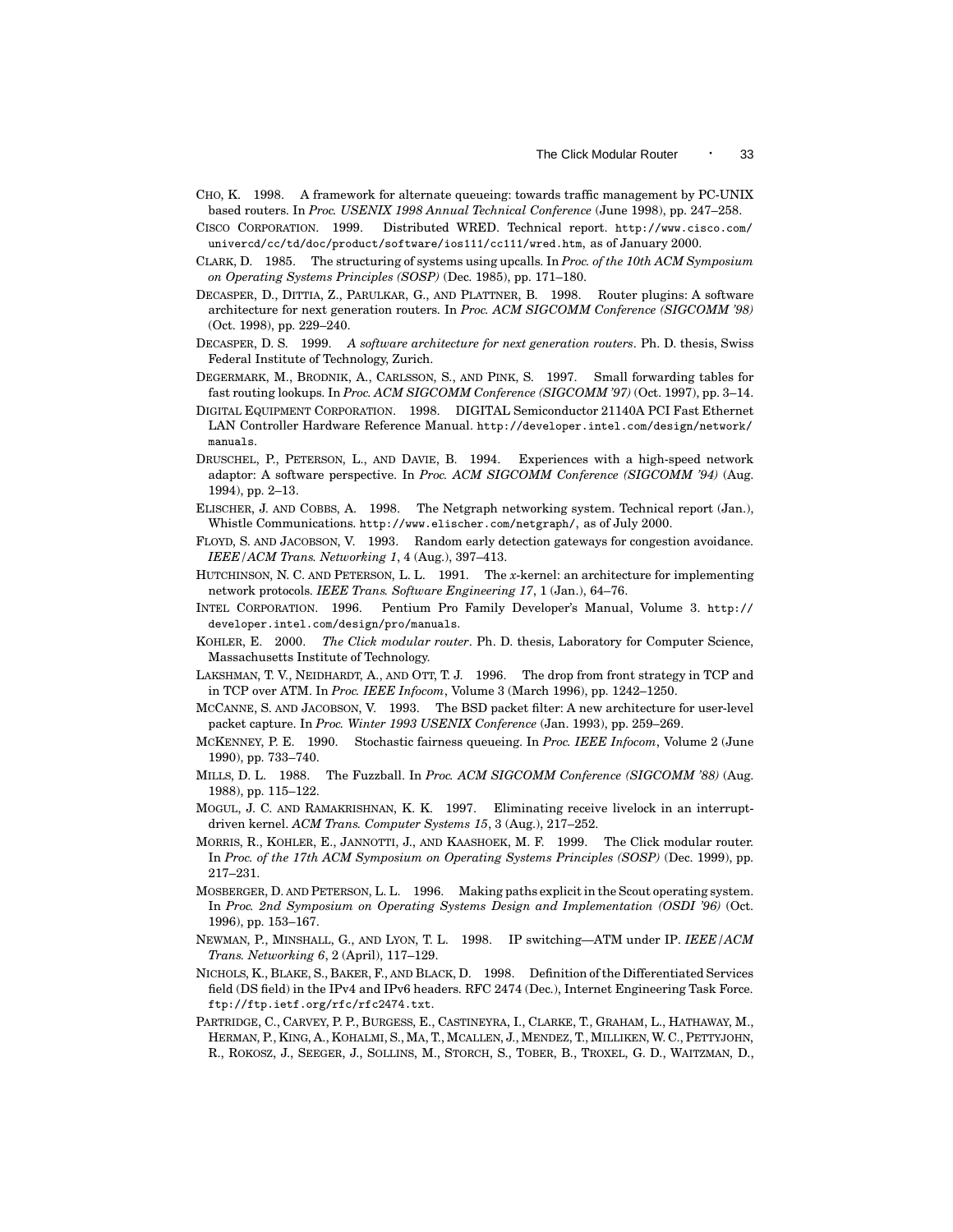- CHO, K. 1998. A framework for alternate queueing: towards traffic management by PC-UNIX based routers. In *Proc. USENIX 1998 Annual Technical Conference* (June 1998), pp. 247–258.
- CISCO CORPORATION. 1999. Distributed WRED. Technical report. http://www.cisco.com/ univercd/cc/td/doc/product/software/ios111/cc111/wred.htm, as of January 2000.
- CLARK, D. 1985. The structuring of systems using upcalls. In *Proc. of the 10th ACM Symposium on Operating Systems Principles (SOSP)* (Dec. 1985), pp. 171–180.
- DECASPER, D., DITTIA, Z., PARULKAR, G., AND PLATTNER, B. 1998. Router plugins: A software architecture for next generation routers. In *Proc. ACM SIGCOMM Conference (SIGCOMM '98)* (Oct. 1998), pp. 229–240.
- DECASPER, D. S. 1999. *A software architecture for next generation routers*. Ph. D. thesis, Swiss Federal Institute of Technology, Zurich.
- DEGERMARK, M., BRODNIK, A., CARLSSON, S., AND PINK, S. 1997. Small forwarding tables for fast routing lookups. In *Proc. ACM SIGCOMM Conference (SIGCOMM '97)* (Oct. 1997), pp. 3–14.
- DIGITAL EQUIPMENT CORPORATION. 1998. DIGITAL Semiconductor 21140A PCI Fast Ethernet LAN Controller Hardware Reference Manual. http://developer.intel.com/design/network/ manuals.
- DRUSCHEL, P., PETERSON, L., AND DAVIE, B. 1994. Experiences with a high-speed network adaptor: A software perspective. In *Proc. ACM SIGCOMM Conference (SIGCOMM '94)* (Aug. 1994), pp. 2–13.
- ELISCHER, J. AND COBBS, A. 1998. The Netgraph networking system. Technical report (Jan.), Whistle Communications. http://www.elischer.com/netgraph/, as of July 2000.
- FLOYD, S. AND JACOBSON, V. 1993. Random early detection gateways for congestion avoidance. *IEEE/ACM Trans. Networking 1*, 4 (Aug.), 397–413.
- HUTCHINSON, N. C. AND PETERSON, L. L. 1991. The *x*-kernel: an architecture for implementing network protocols. *IEEE Trans. Software Engineering 17*, 1 (Jan.), 64–76.
- INTEL CORPORATION. 1996. Pentium Pro Family Developer's Manual, Volume 3. http:// developer.intel.com/design/pro/manuals.
- KOHLER, E. 2000. *The Click modular router*. Ph. D. thesis, Laboratory for Computer Science, Massachusetts Institute of Technology.
- LAKSHMAN, T. V., NEIDHARDT, A., AND OTT, T. J. 1996. The drop from front strategy in TCP and in TCP over ATM. In *Proc. IEEE Infocom*, Volume 3 (March 1996), pp. 1242–1250.
- MCCANNE, S. AND JACOBSON, V. 1993. The BSD packet filter: A new architecture for user-level packet capture. In *Proc. Winter 1993 USENIX Conference* (Jan. 1993), pp. 259–269.
- MCKENNEY, P. E. 1990. Stochastic fairness queueing. In *Proc. IEEE Infocom*, Volume 2 (June 1990), pp. 733–740.
- MILLS, D. L. 1988. The Fuzzball. In *Proc. ACM SIGCOMM Conference (SIGCOMM '88)* (Aug. 1988), pp. 115–122.
- MOGUL, J. C. AND RAMAKRISHNAN, K. K. 1997. Eliminating receive livelock in an interruptdriven kernel. *ACM Trans. Computer Systems 15*, 3 (Aug.), 217–252.
- MORRIS, R., KOHLER, E., JANNOTTI, J., AND KAASHOEK, M. F. 1999. The Click modular router. In *Proc. of the 17th ACM Symposium on Operating Systems Principles (SOSP)* (Dec. 1999), pp. 217–231.
- MOSBERGER, D. AND PETERSON, L. L. 1996. Making paths explicit in the Scout operating system. In *Proc. 2nd Symposium on Operating Systems Design and Implementation (OSDI '96)* (Oct. 1996), pp. 153–167.
- NEWMAN, P., MINSHALL, G., AND LYON, T. L. 1998. IP switching—ATM under IP. *IEEE/ACM Trans. Networking 6*, 2 (April), 117–129.
- NICHOLS, K., BLAKE, S., BAKER, F., AND BLACK, D. 1998. Definition of the Differentiated Services field (DS field) in the IPv4 and IPv6 headers. RFC 2474 (Dec.), Internet Engineering Task Force. ftp://ftp.ietf.org/rfc/rfc2474.txt.
- PARTRIDGE, C., CARVEY, P. P., BURGESS, E., CASTINEYRA, I., CLARKE, T., GRAHAM, L., HATHAWAY, M., HERMAN, P., KING, A., KOHALMI, S., MA, T., MCALLEN, J., MENDEZ, T., MILLIKEN, W. C., PETTYJOHN, R., ROKOSZ, J., SEEGER, J., SOLLINS, M., STORCH, S., TOBER, B., TROXEL, G. D., WAITZMAN, D.,